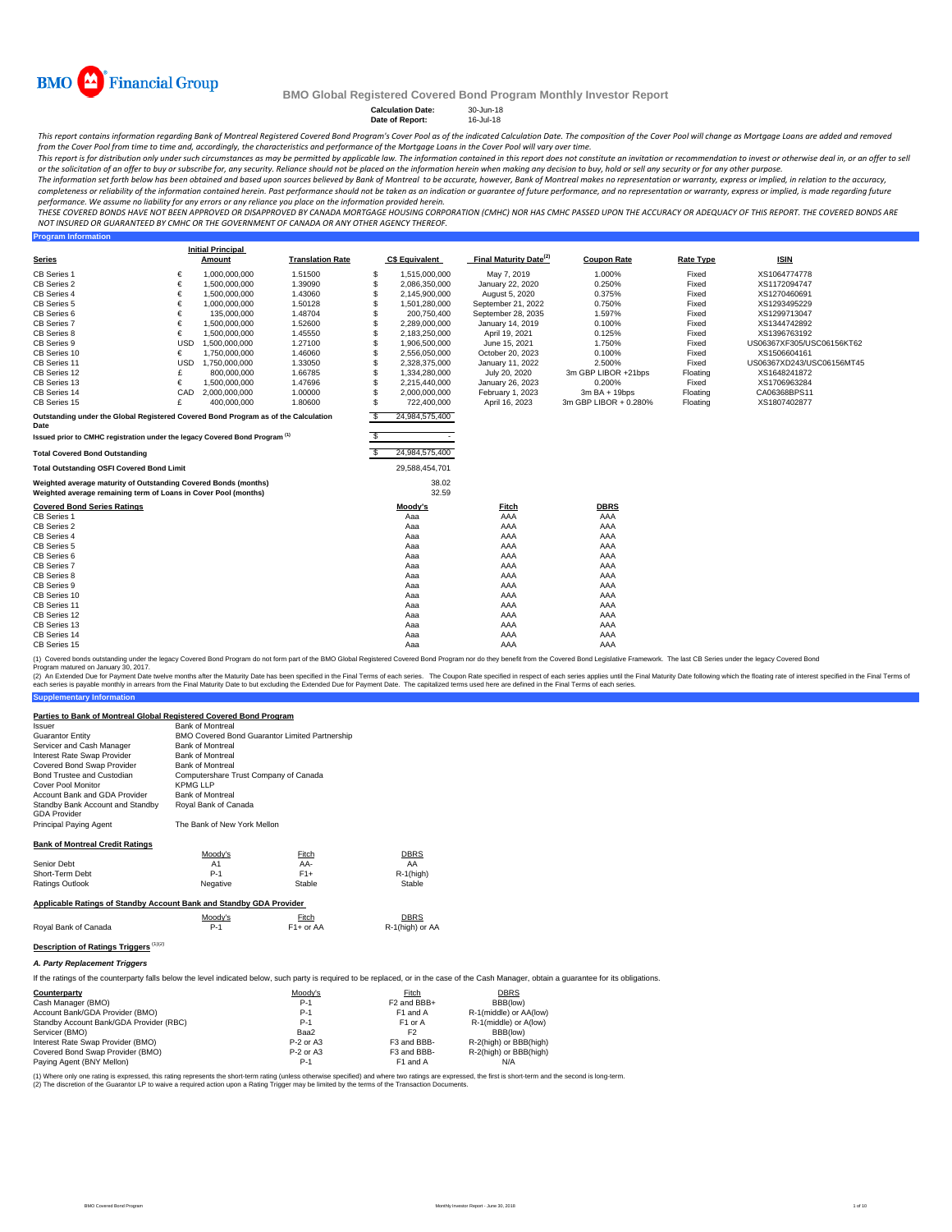

**Program Information**

#### **BMO Global Registered Covered Bond Program Monthly Investor Report**

**Calculation Date:** 30-Jun-18 **Date of Report:** 16-Jul-18

This report contains information regarding Bank of Montreal Registered Covered Bond Program's Cover Pool as of the indicated Calculation Date. The composition of the Cover Pool will change as Mortgage Loans are added and r

from the Cover Pool from time to time and, accordingly, the characteristics and performance of the Mortgage Loans in the Cover Pool will vary over time. This report is for distribution only under such circumstances as may be permitted by applicable law. The information contained in this report does not constitute an invitation or recommendation to invest or otherwise deal

The information set forth below has been obtained and based upon sources believed by Bank of Montreal to be accurate, however, Bank of Montreal makes no representation or warranty, express or implied, in relation to the ac completeness or reliability of the information contained herein. Past performance should not be taken as an indication or guarantee of future performance, and no representation or warranty, express or implied, is made rega performance. We assume no liability for any errors or any reliance you place on the information provided herein.

THESE COVERED BONDS HAVE NOT BEEN APPROVED OR DISAPPROVED BY CANADA MORTGAGE HOUSING CORPORATION (CMHC) NOR HAS CMHC PASSED UPON THE ACCURACY OR ADEQUACY OF THIS REPORT. THE COVERED BONDS ARE<br>NOT INSURED OR GUARANTEED BY C

|                                                                                                                                    |            | <b>Initial Principal</b> |                         |     |                          |                                    |                       |                  |                           |
|------------------------------------------------------------------------------------------------------------------------------------|------------|--------------------------|-------------------------|-----|--------------------------|------------------------------------|-----------------------|------------------|---------------------------|
| <b>Series</b>                                                                                                                      |            | Amount                   | <b>Translation Rate</b> |     | <b>C\$ Equivalent</b>    | Final Maturity Date <sup>(2)</sup> | <b>Coupon Rate</b>    | <b>Rate Type</b> | <b>ISIN</b>               |
| <b>CB Series 1</b>                                                                                                                 | €          | 1,000,000,000            | 1.51500                 | S   | 1.515.000.000            | May 7, 2019                        | 1.000%                | Fixed            | XS1064774778              |
| CB Series 2                                                                                                                        | €          | 1,500,000,000            | 1.39090                 | S   | 2,086,350,000            | January 22, 2020                   | 0.250%                | Fixed            | XS1172094747              |
| CB Series 4                                                                                                                        | €          | 1,500,000,000            | 1.43060                 | S   | 2,145,900,000            | August 5, 2020                     | 0.375%                | Fixed            | XS1270460691              |
| CB Series 5                                                                                                                        | €          | 1,000,000,000            | 1.50128                 |     | 1,501,280,000            | September 21, 2022                 | 0.750%                | Fixed            | XS1293495229              |
| CB Series 6                                                                                                                        | €          | 135,000,000              | 1.48704                 | S   | 200,750,400              | September 28, 2035                 | 1.597%                | Fixed            | XS1299713047              |
| <b>CB Series 7</b>                                                                                                                 | €          | 1,500,000,000            | 1.52600                 | s   | 2,289,000,000            | January 14, 2019                   | 0.100%                | Fixed            | XS1344742892              |
| CB Series 8                                                                                                                        | €          | 1,500,000,000            | 1.45550                 |     | 2,183,250,000            | April 19, 2021                     | 0.125%                | Fixed            | XS1396763192              |
| CB Series 9                                                                                                                        | <b>USD</b> | 1,500,000,000            | 1.27100                 | S   | 1,906,500,000            | June 15, 2021                      | 1.750%                | Fixed            | US06367XF305/USC06156KT62 |
| CB Series 10                                                                                                                       | €          | 1,750,000,000            | 1.46060                 |     | 2,556,050,000            | October 20, 2023                   | 0.100%                | Fixed            | XS1506604161              |
| CB Series 11                                                                                                                       | <b>USD</b> | 1,750,000,000            | 1.33050                 |     | 2,328,375,000            | January 11, 2022                   | 2.500%                | Fixed            | US06367XD243/USC06156MT45 |
| CB Series 12                                                                                                                       | £          | 800,000,000              | 1.66785                 |     | 1.334.280.000            | July 20, 2020                      | 3m GBP LIBOR +21bps   | Floating         | XS1648241872              |
| CB Series 13                                                                                                                       | €          | 1,500,000,000            | 1.47696                 |     | 2.215.440.000            | January 26, 2023                   | 0.200%                | Fixed            | XS1706963284              |
| CB Series 14                                                                                                                       | CAD        | 2,000,000,000            | 1.00000                 | s   | 2,000,000,000            | February 1, 2023                   | $3mBA + 19bps$        | Floating         | CA06368BPS11              |
| CB Series 15                                                                                                                       | £          | 400,000,000              | 1.80600                 | S   | 722,400,000              | April 16, 2023                     | 3m GBP LIBOR + 0.280% | Floating         | XS1807402877              |
| Outstanding under the Global Registered Covered Bond Program as of the Calculation<br>Date                                         |            |                          |                         | \$. | 24,984,575,400           |                                    |                       |                  |                           |
| Issued prior to CMHC registration under the legacy Covered Bond Program <sup>(1)</sup>                                             |            |                          |                         | s   | $\overline{\phantom{a}}$ |                                    |                       |                  |                           |
| <b>Total Covered Bond Outstanding</b>                                                                                              |            |                          |                         | \$  | 24,984,575,400           |                                    |                       |                  |                           |
| <b>Total Outstanding OSFI Covered Bond Limit</b>                                                                                   |            |                          |                         |     | 29,588,454,701           |                                    |                       |                  |                           |
| Weighted average maturity of Outstanding Covered Bonds (months)<br>Weighted average remaining term of Loans in Cover Pool (months) |            |                          |                         |     | 38.02<br>32.59           |                                    |                       |                  |                           |
| <b>Covered Bond Series Ratings</b><br>CB Series 1                                                                                  |            |                          |                         |     | Moody's<br>Aaa           | <b>Fitch</b><br>AAA                | <b>DBRS</b><br>AAA    |                  |                           |
| CB Series 2                                                                                                                        |            |                          |                         |     | Aaa                      | AAA                                | AAA                   |                  |                           |
| CB Series 4                                                                                                                        |            |                          |                         |     | Aaa                      | AAA                                | AAA                   |                  |                           |
| CB Series 5                                                                                                                        |            |                          |                         |     | Aaa                      | AAA                                | AAA                   |                  |                           |
| CB Series 6                                                                                                                        |            |                          |                         |     | Aaa                      | AAA                                | AAA                   |                  |                           |
| CB Series 7                                                                                                                        |            |                          |                         |     | Aaa                      | AAA                                | AAA                   |                  |                           |
| CB Series 8                                                                                                                        |            |                          |                         |     | Aaa                      | AAA                                | AAA                   |                  |                           |
| CB Series 9                                                                                                                        |            |                          |                         |     | Aaa                      | AAA                                | AAA                   |                  |                           |
| CB Series 10                                                                                                                       |            |                          |                         |     | Aaa                      | AAA                                | AAA                   |                  |                           |
| CB Series 11                                                                                                                       |            |                          |                         |     | Aaa                      | AAA                                | AAA                   |                  |                           |
| CB Series 12                                                                                                                       |            |                          |                         |     | Aaa                      | AAA                                | AAA                   |                  |                           |
| CB Series 13                                                                                                                       |            |                          |                         |     | Aaa                      | AAA                                | AAA                   |                  |                           |
| CB Series 14                                                                                                                       |            |                          |                         |     | Aaa                      | AAA                                | AAA                   |                  |                           |
| CB Series 15                                                                                                                       |            |                          |                         |     | Aaa                      | AAA                                | AAA                   |                  |                           |

(1) Covered bonds outstanding under the legacy Covered Bond Program do not form part of the BMO Global Registered Covered Bond Program nor do they benefit from the Covered Bond Legislative Framework. The last CB Series und param matured on January 30, 2017.

**Supplementary Information** (2) An Extended Due for Payment Date twelve months after the Maturity Date has been specified in the Final Terms of each series. The Coupon Rate specified in the Final Maturity Date to but excluding the Extended Due for Pa

### **Parties to Bank of Montreal Global Registered Covered Bond Program**

| <i><b>Issuer</b></i>                                                                                                                              | <b>Bank of Montreal</b>               |                                                |                         |                |
|---------------------------------------------------------------------------------------------------------------------------------------------------|---------------------------------------|------------------------------------------------|-------------------------|----------------|
| <b>Guarantor Entity</b>                                                                                                                           |                                       | BMO Covered Bond Guarantor Limited Partnership |                         |                |
| Servicer and Cash Manager                                                                                                                         | <b>Bank of Montreal</b>               |                                                |                         |                |
| Interest Rate Swap Provider                                                                                                                       | <b>Bank of Montreal</b>               |                                                |                         |                |
| Covered Bond Swap Provider                                                                                                                        | <b>Bank of Montreal</b>               |                                                |                         |                |
| Bond Trustee and Custodian                                                                                                                        | Computershare Trust Company of Canada |                                                |                         |                |
| Cover Pool Monitor                                                                                                                                | <b>KPMG LLP</b>                       |                                                |                         |                |
| Account Bank and GDA Provider                                                                                                                     | <b>Bank of Montreal</b>               |                                                |                         |                |
| Standby Bank Account and Standby                                                                                                                  | Royal Bank of Canada                  |                                                |                         |                |
| <b>GDA Provider</b>                                                                                                                               |                                       |                                                |                         |                |
| Principal Paying Agent                                                                                                                            | The Bank of New York Mellon           |                                                |                         |                |
| <b>Bank of Montreal Credit Ratings</b>                                                                                                            |                                       |                                                |                         |                |
|                                                                                                                                                   | Moodv's                               | Fitch                                          | <b>DBRS</b>             |                |
| Senior Debt                                                                                                                                       | A1                                    | AA-                                            | AA                      |                |
| Short-Term Debt                                                                                                                                   | $P-1$                                 | $F1+$                                          | $R-1$ (high)            |                |
| Ratings Outlook                                                                                                                                   | Negative                              | Stable                                         | Stable                  |                |
| Applicable Ratings of Standby Account Bank and Standby GDA Provider                                                                               |                                       |                                                |                         |                |
|                                                                                                                                                   | Moody's                               | Fitch                                          | <b>DBRS</b>             |                |
| Royal Bank of Canada                                                                                                                              | $P-1$                                 | $F1+$ or AA                                    | R-1(high) or AA         |                |
| Description of Ratings Triggers (1)(2)                                                                                                            |                                       |                                                |                         |                |
| A. Party Replacement Triggers                                                                                                                     |                                       |                                                |                         |                |
|                                                                                                                                                   |                                       |                                                |                         |                |
| If the ratings of the counterparty falls below the level indicated below, such party is required to be replaced, or in the case of the Cash Manad |                                       |                                                |                         |                |
| Counterparty                                                                                                                                      |                                       | Moody's                                        | Fitch                   | <b>DBRS</b>    |
| Cash Manager (BMO)                                                                                                                                |                                       | $P-1$                                          | F <sub>2</sub> and BBB+ | BBB(loy        |
| Account Bank/GDA Provider (BMO)                                                                                                                   |                                       | $P-1$                                          | F1 and A                | R-1(middle) or |
| Standby Account Bank/GDA Provider (RBC)                                                                                                           |                                       | $P-1$                                          | F <sub>1</sub> or A     | R-1(middle) o  |

of the Cash Manager, obtain a guarantee for its obligations.

| counterparty                            | <b>MOODYS</b> | <b>FILCH</b> | UDRƏ                   |  |
|-----------------------------------------|---------------|--------------|------------------------|--|
| Cash Manager (BMO)                      | $P-1$         | F2 and BBB+  | BBB(low)               |  |
| Account Bank/GDA Provider (BMO)         | $P-1$         | F1 and A     | R-1(middle) or AA(low) |  |
| Standby Account Bank/GDA Provider (RBC) | $P-1$         | F1 or A      | R-1(middle) or A(low)  |  |
| Servicer (BMO)                          | Baa2          |              | BBB(low)               |  |
| Interest Rate Swap Provider (BMO)       | P-2 or A3     | F3 and BBB-  | R-2(high) or BBB(high) |  |
| Covered Bond Swap Provider (BMO)        | P-2 or A3     | F3 and BBB-  | R-2(high) or BBB(high) |  |
| Paying Agent (BNY Mellon)               | $P-1$         | F1 and A     | N/A                    |  |
|                                         |               |              |                        |  |

(1) Where only one rating is expressed, this rating represents the short-term rating (unless otherwise specified) and where two ratings are expressed, the first is short-term and the second is long-term. (2) The discretion of the Guarantor LP to waive a required action upon a Rating Trigger may be limited by the terms of the Transaction Documents.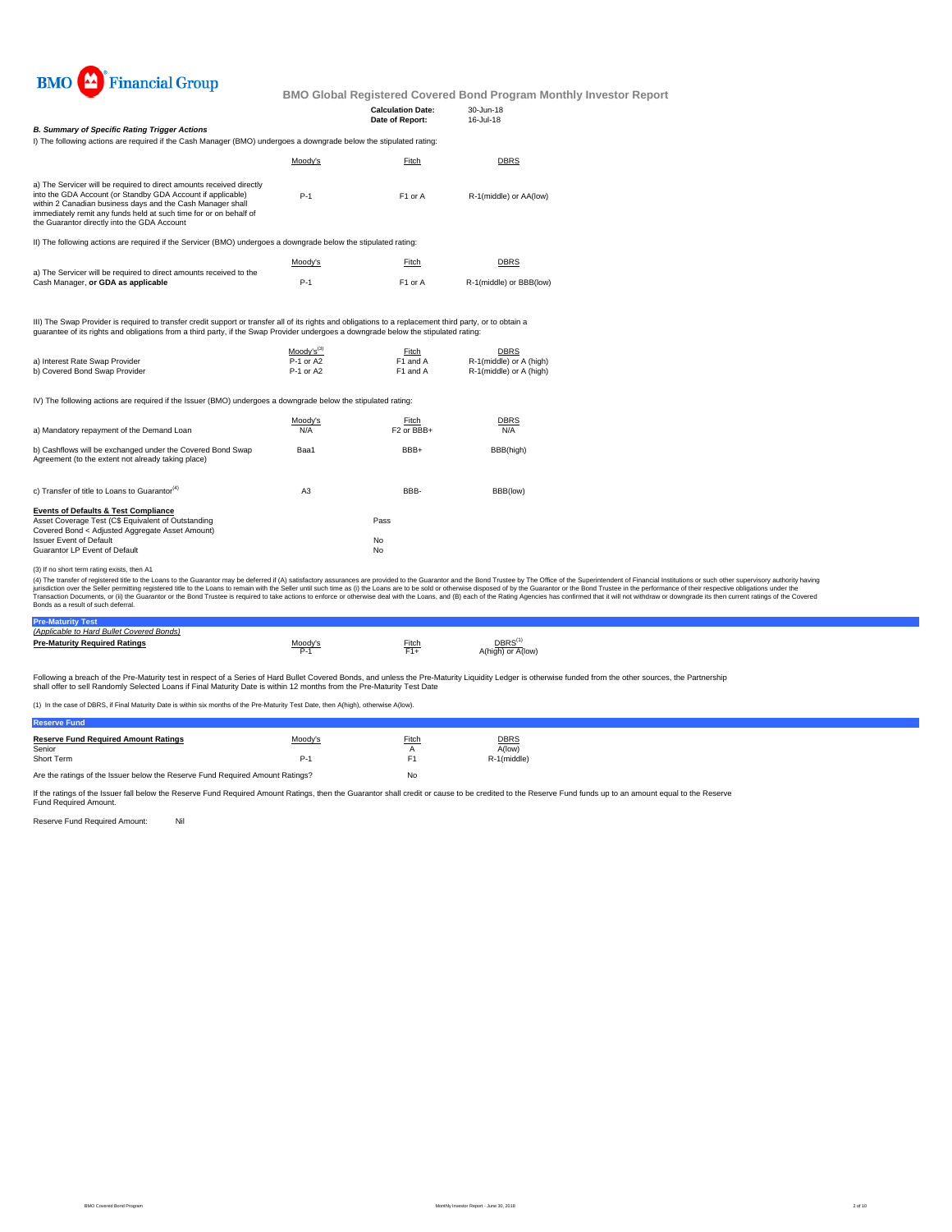

**Calculation Date:** 30-Jun-18

| <b>B. Summary of Specific Rating Trigger Actions</b>                                                                                                                                                                                                                                                                  |         | Date of Report:     | 16-Jul-18               |  |
|-----------------------------------------------------------------------------------------------------------------------------------------------------------------------------------------------------------------------------------------------------------------------------------------------------------------------|---------|---------------------|-------------------------|--|
| I) The following actions are required if the Cash Manager (BMO) undergoes a downgrade below the stipulated rating:                                                                                                                                                                                                    |         |                     |                         |  |
|                                                                                                                                                                                                                                                                                                                       | Moody's | Fitch               | <b>DBRS</b>             |  |
| a) The Servicer will be required to direct amounts received directly<br>into the GDA Account (or Standby GDA Account if applicable)<br>within 2 Canadian business days and the Cash Manager shall<br>immediately remit any funds held at such time for or on behalf of<br>the Guarantor directly into the GDA Account | $P-1$   | F <sub>1</sub> or A | R-1(middle) or AA(low)  |  |
| II) The following actions are required if the Servicer (BMO) undergoes a downgrade below the stipulated rating:                                                                                                                                                                                                       |         |                     |                         |  |
|                                                                                                                                                                                                                                                                                                                       | Moody's | Fitch               | <b>DBRS</b>             |  |
| a) The Servicer will be required to direct amounts received to the<br>Cash Manager, or GDA as applicable                                                                                                                                                                                                              | $P-1$   | F <sub>1</sub> or A | R-1(middle) or BBB(low) |  |
|                                                                                                                                                                                                                                                                                                                       |         |                     |                         |  |

III) The Swap Provider is required to transfer credit support or transfer all of its rights and obligations to a replacement third party, or to obtain a<br>guarantee of its rights and obligations from a third party, if the Sw

|                                | $Modv's^{(3)}$ | Fitch                | <b>DBRS</b>             |
|--------------------------------|----------------|----------------------|-------------------------|
| a) Interest Rate Swap Provider | P-1 or A2      | F1 and A             | R-1(middle) or A (high) |
| b) Covered Bond Swap Provider  | P-1 or A2      | F <sub>1</sub> and A | R-1(middle) or A (high) |

IV) The following actions are required if the Issuer (BMO) undergoes a downgrade below the stipulated rating:

| a) Mandatory repayment of the Demand Loan                                                                                                                                                                                   | Moody's<br>N/A | Fitch<br>F <sub>2</sub> or BBB+ | <b>DBRS</b><br>N/A |
|-----------------------------------------------------------------------------------------------------------------------------------------------------------------------------------------------------------------------------|----------------|---------------------------------|--------------------|
| b) Cashflows will be exchanged under the Covered Bond Swap<br>Agreement (to the extent not already taking place)                                                                                                            | Baa1           | BBB+                            | BBB(high)          |
| c) Transfer of title to Loans to Guarantor <sup>(4)</sup>                                                                                                                                                                   | A <sub>3</sub> | BBB-                            | BBB(low)           |
| <b>Events of Defaults &amp; Test Compliance</b><br>Asset Coverage Test (C\$ Equivalent of Outstanding<br>Covered Bond < Adjusted Aggregate Asset Amount)<br><b>Issuer Event of Default</b><br>Guarantor LP Event of Default |                | Pass<br>No<br>No                |                    |

(3) If no short term rating exists, then A1

(4) The transfer of registered tilte to the Loans to the Guarantor may be deferred if (A) satistadoy assurances are provided to the Guarantor and the Bond Trustee by the Odifice of the System Trustee in the performance of

#### **Pre-Maturity Test** *(Applicable to Hard Bullet Covered Bonds)*

| <i><b>I ADDIICADIE IU FAIU DUIIEI COVEIEU DUIIUSI</b></i> |         |       |                                   |
|-----------------------------------------------------------|---------|-------|-----------------------------------|
| <b>Pre-Maturity Required Ratings</b>                      | Moody's | Fitch | $DBRS^{(1)}$<br>A(high) or A(low) |

Following a breach of the Pre-Maturity test in respect of a Series of Hard Bullet Covered Bonds, and unless the Pre-Maturity Liquidity Ledger is otherwise funded from the other sources, the Partnership<br>shall offer to sell

(1) In the case of DBRS, if Final Maturity Date is within six months of the Pre-Maturity Test Date, then A(high), otherwise A(low).

| <b>Reserve Fund Required Amount Ratings</b> | Moody's | Fitch | <b>DBRS</b> |
|---------------------------------------------|---------|-------|-------------|
| Senior                                      |         |       | A(low)      |
| Short Term                                  | Р.      |       | R-1(middle) |
|                                             |         |       |             |

Are the ratings of the Issuer below the Reserve Fund Required Amount Ratings? No

If the ratings of the Issuer fall below the Reserve Fund Required Amount Ratings, then the Guarantor shall credit or cause to be credited to the Reserve Fund funds up to an amount equal to the Reserve Fund Required Amount.

Reserve Fund Required Amount: Nil

**Reserve Fund**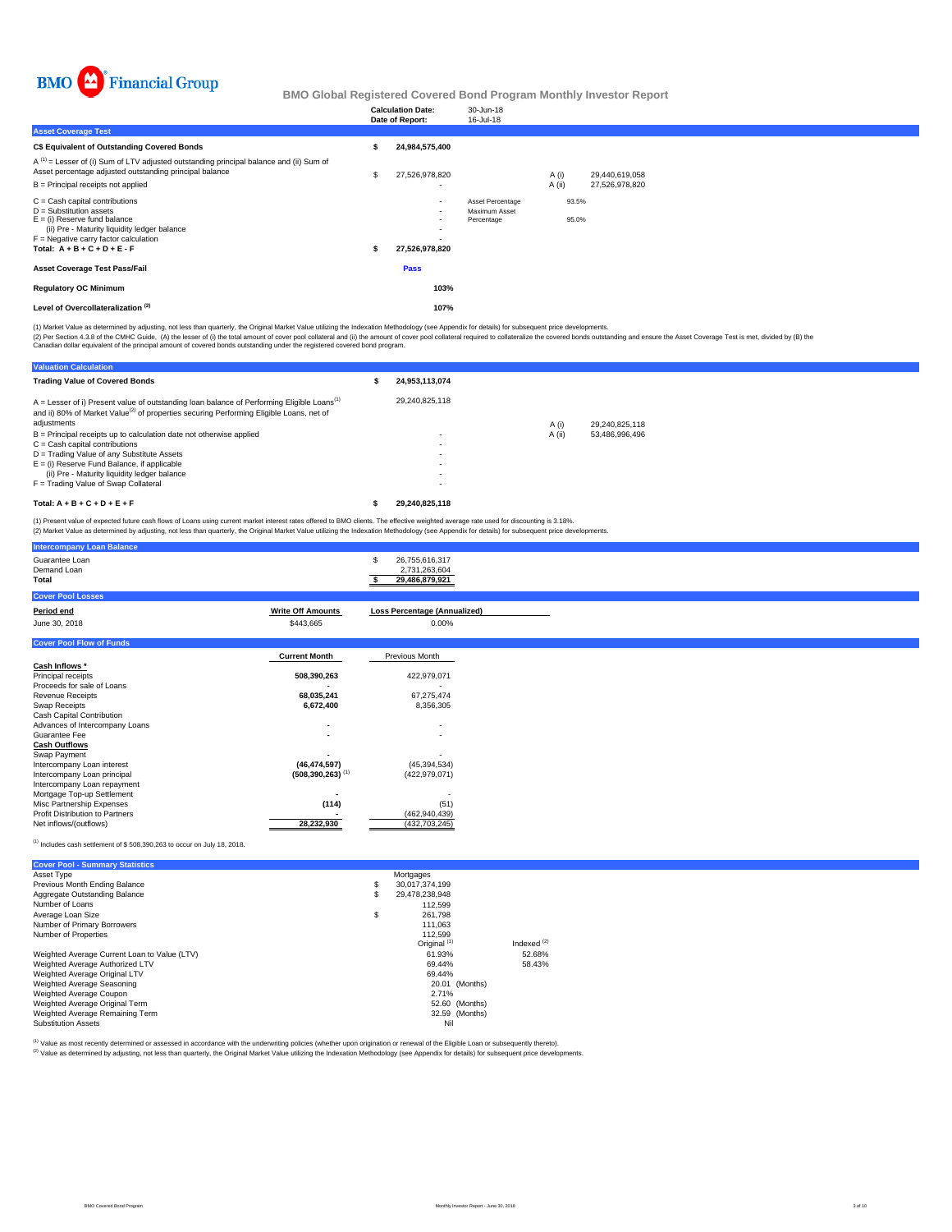

|                                                                                                                                                                                                                              | <b>Calculation Date:</b><br>Date of Report: | 30-Jun-18<br>16-Jul-18                          |        |                |                |  |  |
|------------------------------------------------------------------------------------------------------------------------------------------------------------------------------------------------------------------------------|---------------------------------------------|-------------------------------------------------|--------|----------------|----------------|--|--|
| <b>Asset Coverage Test</b>                                                                                                                                                                                                   |                                             |                                                 |        |                |                |  |  |
| C\$ Equivalent of Outstanding Covered Bonds                                                                                                                                                                                  | 24,984,575,400                              |                                                 |        |                |                |  |  |
| $A^{(1)}$ = Lesser of (i) Sum of LTV adjusted outstanding principal balance and (ii) Sum of<br>Asset percentage adjusted outstanding principal balance                                                                       | 27,526,978,820                              |                                                 | A (i)  |                | 29,440,619,058 |  |  |
| B = Principal receipts not applied                                                                                                                                                                                           |                                             |                                                 | A (ii) |                | 27,526,978,820 |  |  |
| $C =$ Cash capital contributions<br>$D =$ Substitution assets<br>$E =$ (i) Reserve fund balance<br>(ii) Pre - Maturity liquidity ledger balance<br>$F =$ Negative carry factor calculation<br>Total: $A + B + C + D + E - F$ | $\sim$<br>$\sim$<br>۰.<br>27,526,978,820    | Asset Percentage<br>Maximum Asset<br>Percentage |        | 93.5%<br>95.0% |                |  |  |
| <b>Asset Coverage Test Pass/Fail</b>                                                                                                                                                                                         | Pass                                        |                                                 |        |                |                |  |  |
| <b>Regulatory OC Minimum</b>                                                                                                                                                                                                 | 103%                                        |                                                 |        |                |                |  |  |
| Level of Overcollateralization <sup>(2)</sup>                                                                                                                                                                                | 107%                                        |                                                 |        |                |                |  |  |

(1) Market Value as determined by adjusting, not less than quarterly, the Original Market Value utilizing the Indexation Methodology (see Appendix for details) for subsequent price developments.

(2) Per Section 4.3.8 of the CMHC Guide, (A) the lesser of (i) the total amount of cover pool collateral and (ii) the amount of cover pool collateral required to collateralize the covered bonds outstanding and ensure the A

| <b>Valuation Calculation</b>                                                                                                                                                                                                   |                |        |                |
|--------------------------------------------------------------------------------------------------------------------------------------------------------------------------------------------------------------------------------|----------------|--------|----------------|
| <b>Trading Value of Covered Bonds</b>                                                                                                                                                                                          | 24.953.113.074 |        |                |
| $A =$ Lesser of i) Present value of outstanding loan balance of Performing Eligible Loans <sup>(1)</sup><br>and ii) 80% of Market Value <sup>(2)</sup> of properties securing Performing Eligible Loans, net of<br>adjustments | 29.240.825.118 | A(i)   | 29,240,825,118 |
| $B =$ Principal receipts up to calculation date not otherwise applied                                                                                                                                                          |                | A (ii) | 53.486.996.496 |
| $C =$ Cash capital contributions                                                                                                                                                                                               |                |        |                |
| D = Trading Value of any Substitute Assets                                                                                                                                                                                     |                |        |                |
| $E =$ (i) Reserve Fund Balance, if applicable                                                                                                                                                                                  |                |        |                |
| (ii) Pre - Maturity liquidity ledger balance                                                                                                                                                                                   |                |        |                |
| F = Trading Value of Swap Collateral                                                                                                                                                                                           |                |        |                |
| Total: $A + B + C + D + E + F$                                                                                                                                                                                                 | 29.240.825.118 |        |                |

(1) Present value of expected future cash flows of Loans using current market interest rates offered to BMO clients. The effective weighted average rate used for discounting is 3.18%.<br>(2) Market Value as determined by adju

| Guarantee Loan                         |                                  | 26,755,616,317<br>S                 |
|----------------------------------------|----------------------------------|-------------------------------------|
|                                        |                                  |                                     |
| Demand Loan                            |                                  | 2,731,263,604                       |
| <b>Total</b>                           |                                  | 29,486,879,921                      |
|                                        |                                  |                                     |
| <b>Cover Pool Losses</b>               |                                  |                                     |
| Period end                             | <b>Write Off Amounts</b>         | <b>Loss Percentage (Annualized)</b> |
| June 30, 2018                          | \$443,665                        | 0.00%                               |
|                                        |                                  |                                     |
| <b>Cover Pool Flow of Funds</b>        |                                  |                                     |
|                                        |                                  |                                     |
|                                        | <b>Current Month</b>             | Previous Month                      |
| Cash Inflows *                         |                                  |                                     |
| Principal receipts                     | 508,390,263                      | 422,979,071                         |
| Proceeds for sale of Loans             |                                  |                                     |
|                                        |                                  |                                     |
| <b>Revenue Receipts</b>                | 68,035,241                       | 67,275,474                          |
| Swap Receipts                          | 6,672,400                        | 8,356,305                           |
| Cash Capital Contribution              |                                  |                                     |
| Advances of Intercompany Loans         | $\overline{\phantom{a}}$         | $\sim$                              |
| Guarantee Fee                          | ۰                                | ٠                                   |
|                                        |                                  |                                     |
| <b>Cash Outflows</b>                   |                                  |                                     |
| Swap Payment                           |                                  |                                     |
| Intercompany Loan interest             | (46, 474, 597)                   | (45, 394, 534)                      |
| Intercompany Loan principal            | $(508, 390, 263)$ <sup>(1)</sup> | (422, 979, 071)                     |
| Intercompany Loan repayment            |                                  |                                     |
|                                        |                                  |                                     |
| Mortgage Top-up Settlement             | ٠.                               |                                     |
| Misc Partnership Expenses              | (114)                            | (51)                                |
| <b>Profit Distribution to Partners</b> |                                  | (462, 940, 439)                     |
| Net inflows/(outflows)                 | 28,232,930                       | (432, 703, 245)                     |
|                                        |                                  |                                     |
|                                        |                                  |                                     |

#### (1) Includes cash settlement of \$ 508,390,263 to occur on July 18, 2018.

**Intercompany Loan Balance**

| <b>Cover Pool - Summary Statistics</b>       |                         |               |
|----------------------------------------------|-------------------------|---------------|
| Asset Type                                   | Mortgages               |               |
| Previous Month Ending Balance                | \$<br>30.017.374.199    |               |
| Aggregate Outstanding Balance                | \$<br>29.478.238.948    |               |
| Number of Loans                              | 112.599                 |               |
| Average Loan Size                            | \$<br>261.798           |               |
| Number of Primary Borrowers                  | 111.063                 |               |
| Number of Properties                         | 112.599                 |               |
|                                              | Original <sup>(1)</sup> | Indexed $(2)$ |
| Weighted Average Current Loan to Value (LTV) | 61.93%                  | 52.68%        |
| Weighted Average Authorized LTV              | 69.44%                  | 58.43%        |
| Weighted Average Original LTV                | 69.44%                  |               |
| Weighted Average Seasoning                   | 20.01 (Months)          |               |
| Weighted Average Coupon                      | 2.71%                   |               |
| Weighted Average Original Term               | 52.60 (Months)          |               |
| Weighted Average Remaining Term              | 32.59 (Months)          |               |
| <b>Substitution Assets</b>                   | Nil                     |               |

(1) Value as most recently determined or assessed in accordance with the underwriting policies (whether upon origination or renewal of the Eligible Loan or subsequently thereto).

Value as incorrection documents of documents in the children as the children of the United States of the Indexation Methodology (see Appendix for details) for subsequent price developments.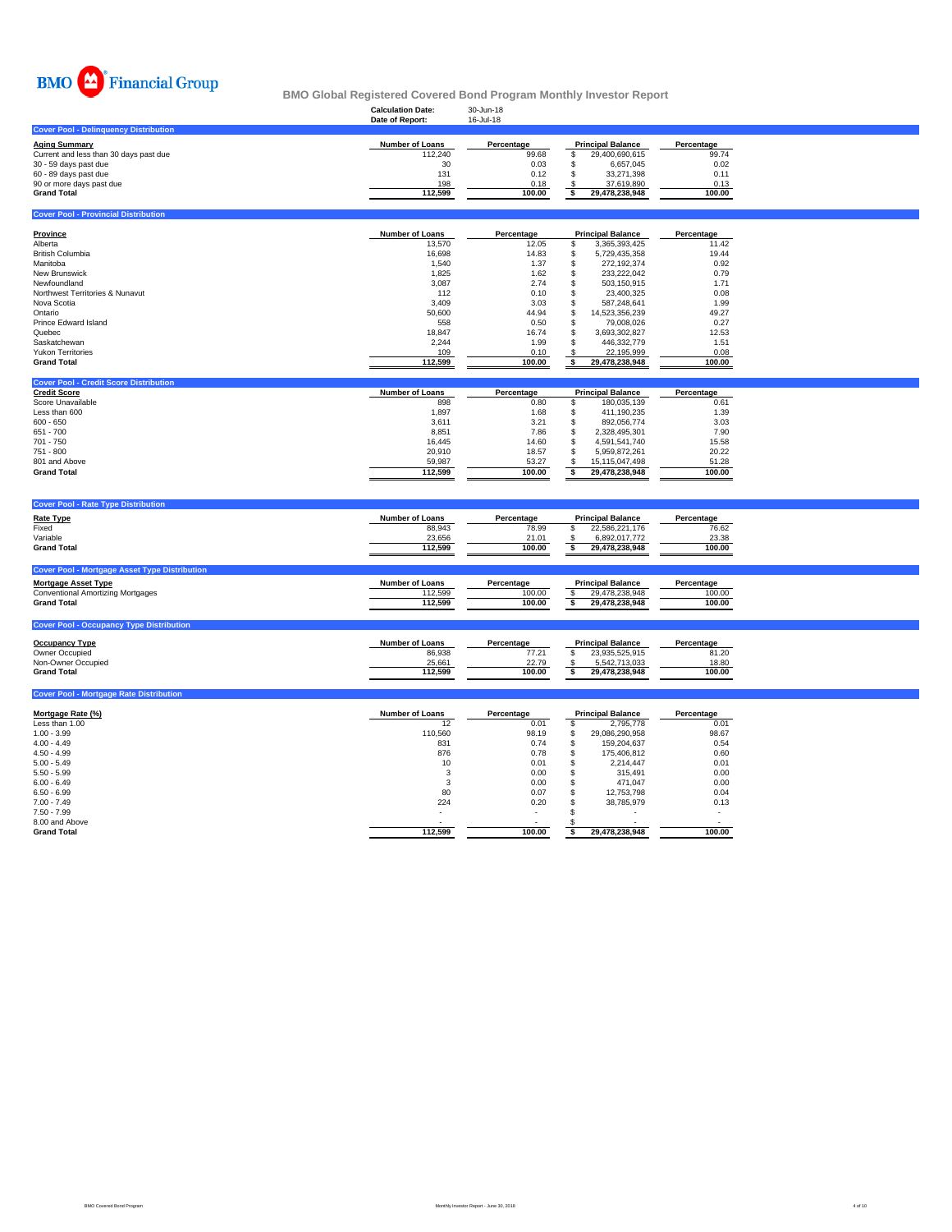

**Cover Pool - Provincial Distribution** 

#### **Calculation Date:** 30-Jun-18 **BMO Global Registered Covered Bond Program Monthly Investor Report**

|                                              | Date of Report: | 16-Jul-18  |                          |            |
|----------------------------------------------|-----------------|------------|--------------------------|------------|
| <b>Cover Pool - Delinguency Distribution</b> |                 |            |                          |            |
| Aging Summarv                                | Number of Loans | Percentage | <b>Principal Balance</b> | Percentage |
| Current and less than 30 days past due       | 112.240         | 99.68      | 29.400.690.615           | 99.74      |
| 30 - 59 days past due                        | 30              | 0.03       | 6.657.045                | 0.02       |
| 60 - 89 days past due                        | 131             | 0.12       | 33.271.398               | 0.11       |
| 90 or more days past due                     | 198             | 0.18       | 37.619.890               | 0.13       |
| Grand Total                                  | 112.599         | 100.00     | 29.478.238.948           | 100.00     |
|                                              |                 |            |                          |            |

| Province                        | <b>Number of Loans</b> | Percentage |    | <b>Principal Balance</b> | Percentage |
|---------------------------------|------------------------|------------|----|--------------------------|------------|
| Alberta                         | 13.570                 | 12.05      |    | 3.365.393.425            | 11.42      |
| <b>British Columbia</b>         | 16,698                 | 14.83      |    | 5.729.435.358            | 19.44      |
| Manitoba                        | 1.540                  | 1.37       |    | 272.192.374              | 0.92       |
| New Brunswick                   | 1.825                  | 1.62       | ă. | 233.222.042              | 0.79       |
| Newfoundland                    | 3,087                  | 2.74       |    | 503.150.915              | 1.71       |
| Northwest Territories & Nunavut | 112                    | 0.10       |    | 23.400.325               | 0.08       |
| Nova Scotia                     | 3,409                  | 3.03       |    | 587.248.641              | 1.99       |
| Ontario                         | 50,600                 | 44.94      | S  | 14.523.356.239           | 49.27      |
| Prince Edward Island            | 558                    | 0.50       |    | 79.008.026               | 0.27       |
| Quebec                          | 18,847                 | 16.74      | ă. | 3.693.302.827            | 12.53      |
| Saskatchewan                    | 2,244                  | 1.99       |    | 446.332.779              | 1.51       |
| <b>Yukon Territories</b>        | 109                    | 0.10       |    | 22.195.999               | 0.08       |
| <b>Grand Total</b>              | 112,599                | 100.00     |    | 29,478,238,948           | 100.00     |

| <b>Cover Pool - Credit Score Distribution</b> |                        |            |                          |            |
|-----------------------------------------------|------------------------|------------|--------------------------|------------|
| <b>Credit Score</b>                           | <b>Number of Loans</b> | Percentage | <b>Principal Balance</b> | Percentage |
| Score Unavailable                             | 898                    | 0.80       | 180.035.139              | 0.61       |
| Less than 600                                 | 1.897                  | 1.68       | 411.190.235              | 1.39       |
| $600 - 650$                                   | 3,611                  | 3.21       | 892.056.774              | 3.03       |
| $651 - 700$                                   | 8.851                  | 7.86       | 2.328.495.301            | 7.90       |
| 701 - 750                                     | 16.445                 | 14.60      | 4.591.541.740            | 15.58      |
| 751 - 800                                     | 20,910                 | 18.57      | 5.959.872.261            | 20.22      |
| 801 and Above                                 | 59.987                 | 53.27      | 15.115.047.498           | 51.28      |
| <b>Grand Total</b>                            | 112.599                | 100.00     | 29.478.238.948           | 100.00     |

| <b>Cover Pool - Rate Type Distribution</b>                                                                                                           |                                                       |                                        |                                                                               |                                        |  |
|------------------------------------------------------------------------------------------------------------------------------------------------------|-------------------------------------------------------|----------------------------------------|-------------------------------------------------------------------------------|----------------------------------------|--|
| <b>Rate Type</b><br>Fixed<br>Variable<br><b>Grand Total</b>                                                                                          | <b>Number of Loans</b><br>88.943<br>23,656<br>112.599 | Percentage<br>78.99<br>21.01<br>100.00 | <b>Principal Balance</b><br>22,586,221,176<br>6,892,017,772<br>29.478.238.948 | Percentage<br>76.62<br>23.38<br>100.00 |  |
| <b>Cover Pool - Mortgage Asset Type Distribution</b><br><b>Mortgage Asset Type</b><br><b>Conventional Amortizing Mortgages</b><br><b>Grand Total</b> | <b>Number of Loans</b><br>112.599<br>112.599          | Percentage<br>100.00<br>100.00         | <b>Principal Balance</b><br>29.478.238.948<br>29.478.238.948                  | Percentage<br>100.00<br>100.00         |  |
| <b>Cover Pool - Occupancy Type Distribution</b>                                                                                                      |                                                       |                                        |                                                                               |                                        |  |

| <b>Occupancy Type</b> | <b>Number of Loans</b> | Percentage | <b>Principal Balance</b> | Percentage |
|-----------------------|------------------------|------------|--------------------------|------------|
| Owner Occupied        | 86,938                 | 77.21      | 23.935.525.915           | 81.20      |
| Non-Owner Occupied    | 25.661                 | 22.79      | 5.542.713.033            | 18.80      |
| <b>Grand Total</b>    | 112.599                | 100.00     | 29.478.238.948           | 100.00     |

| <b>Cover Pool - Mortgage Rate Distribution</b> |                        |                          |   |                          |            |
|------------------------------------------------|------------------------|--------------------------|---|--------------------------|------------|
| Mortgage Rate (%)                              | <b>Number of Loans</b> | Percentage               |   | <b>Principal Balance</b> | Percentage |
| Less than 1.00                                 | 12                     | 0.01                     |   | 2.795.778                | 0.01       |
| $1.00 - 3.99$                                  | 110,560                | 98.19                    | ъ | 29,086,290,958           | 98.67      |
| $4.00 - 4.49$                                  | 831                    | 0.74                     |   | 159.204.637              | 0.54       |
| $4.50 - 4.99$                                  | 876                    | 0.78                     |   | 175,406,812              | 0.60       |
| $5.00 - 5.49$                                  | 10                     | 0.01                     |   | 2.214.447                | 0.01       |
| $5.50 - 5.99$                                  |                        | 0.00                     |   | 315.491                  | 0.00       |
| $6.00 - 6.49$                                  |                        | 0.00                     |   | 471.047                  | 0.00       |
| $6.50 - 6.99$                                  | 80                     | 0.07                     |   | 12.753.798               | 0.04       |
| $7.00 - 7.49$                                  | 224                    | 0.20                     |   | 38.785.979               | 0.13       |
| $7.50 - 7.99$                                  |                        | $\overline{\phantom{a}}$ |   | ۰                        |            |
| 8.00 and Above                                 |                        | $\sim$                   |   |                          |            |
| <b>Grand Total</b>                             | 112,599                | 100.00                   |   | 29,478,238,948           | 100.00     |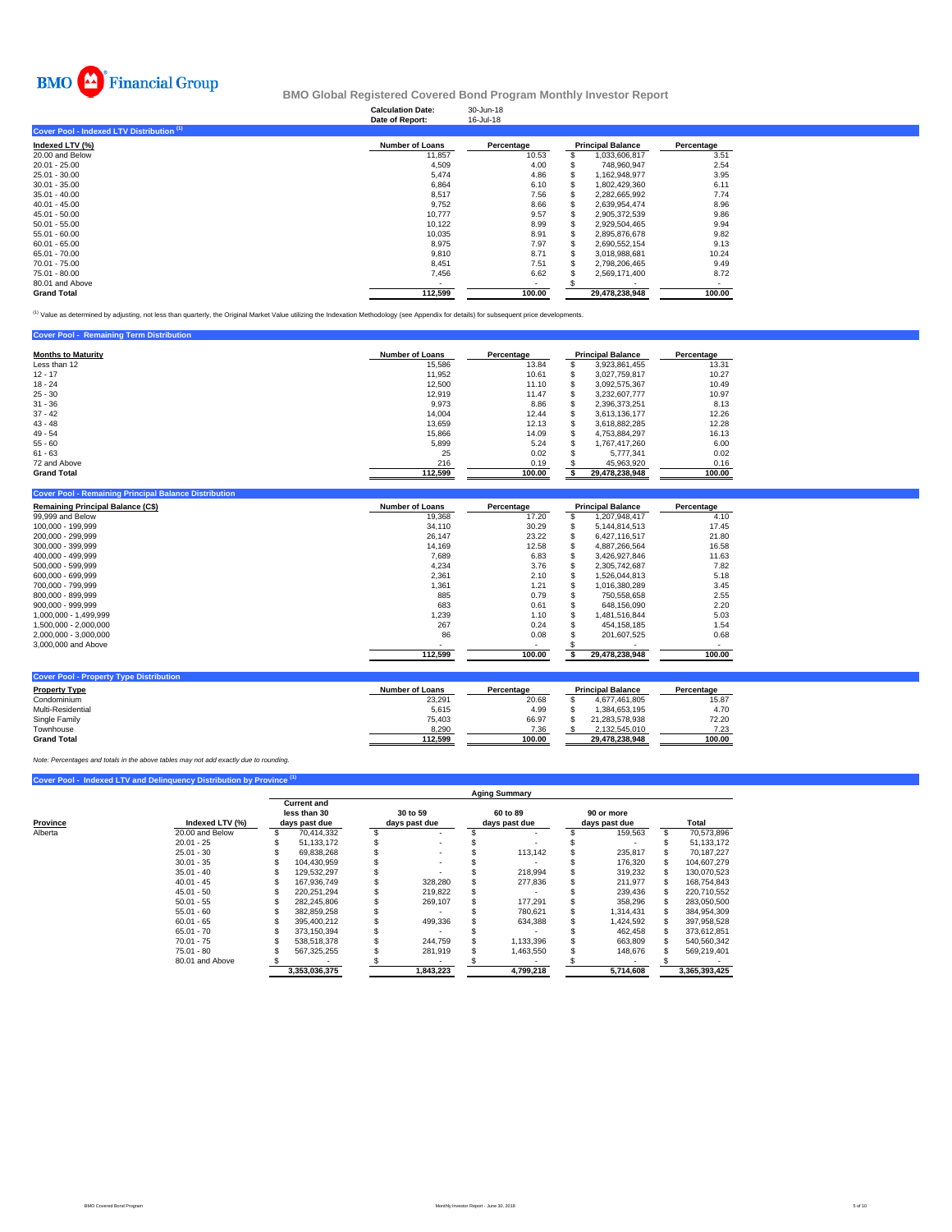

#### **Calculation Date:** 30-Jun-18 **BMO Global Registered Covered Bond Program Monthly Investor Report**

|                                           | Date of Report:        | 16-Jul-18  |                          |            |
|-------------------------------------------|------------------------|------------|--------------------------|------------|
| Cover Pool - Indexed LTV Distribution (1) |                        |            |                          |            |
| Indexed LTV (%)                           | <b>Number of Loans</b> | Percentage | <b>Principal Balance</b> | Percentage |
| 20.00 and Below                           | 11,857                 | 10.53      | 1,033,606,817            | 3.51       |
| $20.01 - 25.00$                           | 4,509                  | 4.00       | 748.960.947              | 2.54       |
| 25.01 - 30.00                             | 5,474                  | 4.86       | 1.162.948.977            | 3.95       |
| $30.01 - 35.00$                           | 6,864                  | 6.10       | 1,802,429,360            | 6.11       |
| $35.01 - 40.00$                           | 8,517                  | 7.56       | 2,282,665,992            | 7.74       |
| $40.01 - 45.00$                           | 9,752                  | 8.66       | 2.639.954.474            | 8.96       |
| $45.01 - 50.00$                           | 10,777                 | 9.57       | 2,905,372,539            | 9.86       |
| $50.01 - 55.00$                           | 10,122                 | 8.99       | 2,929,504,465            | 9.94       |
| $55.01 - 60.00$                           | 10,035                 | 8.91       | 2,895,876,678            | 9.82       |
| $60.01 - 65.00$                           | 8,975                  | 7.97       | 2,690,552,154            | 9.13       |
| 65.01 - 70.00                             | 9,810                  | 8.71       | 3.018.988.681            | 10.24      |
| 70.01 - 75.00                             | 8,451                  | 7.51       | 2,798,206,465            | 9.49       |
| 75.01 - 80.00                             | 7,456                  | 6.62       | 2,569,171,400            | 8.72       |
| 80.01 and Above                           |                        | ٠          |                          |            |
| <b>Grand Total</b>                        | 112,599                | 100.00     | 29.478.238.948           | 100.00     |

<sup>(1)</sup> Value as determined by adjusting, not less than quarterly, the Original Market Value utilizing the Indexation Methodology (see Appendix for details) for subsequent price developments.

| <b>Cover Pool - Remaining Term Distribution</b> |                        |            |    |                          |            |
|-------------------------------------------------|------------------------|------------|----|--------------------------|------------|
| <b>Months to Maturity</b>                       | <b>Number of Loans</b> | Percentage |    | <b>Principal Balance</b> | Percentage |
| Less than 12                                    | 15,586                 | 13.84      | S  | 3.923.861.455            | 13.31      |
| $12 - 17$                                       | 11,952                 | 10.61      | S  | 3.027.759.817            | 10.27      |
| $18 - 24$                                       | 12,500                 | 11.10      | S  | 3.092.575.367            | 10.49      |
| $25 - 30$                                       | 12,919                 | 11.47      |    | 3.232.607.777            | 10.97      |
| $31 - 36$                                       | 9,973                  | 8.86       |    | 2,396,373,251            | 8.13       |
| $37 - 42$                                       | 14.004                 | 12.44      |    | 3.613.136.177            | 12.26      |
| $43 - 48$                                       | 13.659                 | 12.13      | S  | 3.618.882.285            | 12.28      |
| $49 - 54$                                       | 15,866                 | 14.09      | \$ | 4.753.884.297            | 16.13      |
| $55 - 60$                                       | 5.899                  | 5.24       | ፍ  | 1.767.417.260            | 6.00       |
| $61 - 63$                                       | 25                     | 0.02       |    | 5.777.341                | 0.02       |
| 72 and Above                                    | 216                    | 0.19       |    | 45,963,920               | 0.16       |
| <b>Grand Total</b>                              | 112,599                | 100.00     |    | 29,478,238,948           | 100.00     |

| <b>Remaining Principal Balance (C\$)</b> | <b>Number of Loans</b> | Percentage | <b>Principal Balance</b> | Percentage |
|------------------------------------------|------------------------|------------|--------------------------|------------|
| 99,999 and Below                         | 19.368                 | 17.20      | 1,207,948,417            | 4.10       |
| 100.000 - 199.999                        | 34.110                 | 30.29      | 5,144,814,513            | 17.45      |
| 200,000 - 299,999                        | 26,147                 | 23.22      | 6.427.116.517            | 21.80      |
| 300.000 - 399.999                        | 14.169                 | 12.58      | 4.887.266.564            | 16.58      |
| 400.000 - 499.999                        | 7,689                  | 6.83       | 3,426,927,846            | 11.63      |
| 500,000 - 599,999                        | 4,234                  | 3.76       | 2,305,742,687            | 7.82       |
| 600.000 - 699.999                        | 2,361                  | 2.10       | 1.526.044.813            | 5.18       |
| 700.000 - 799.999                        | 1,361                  | 1.21       | 1,016,380,289            | 3.45       |
| 800,000 - 899,999                        | 885                    | 0.79       | 750,558,658              | 2.55       |
| 900.000 - 999.999                        | 683                    | 0.61       | 648,156,090              | 2.20       |
| 1,000,000 - 1,499,999                    | 1,239                  | 1.10       | 1.481.516.844            | 5.03       |
| 1,500,000 - 2,000,000                    | 267                    | 0.24       | 454.158.185              | 1.54       |
| 2,000,000 - 3,000,000                    | 86                     | 0.08       | 201,607,525              | 0.68       |
| 3,000,000 and Above                      |                        | $\sim$     |                          |            |
|                                          | 112,599                | 100.00     | 29,478,238,948           | 100.00     |

| <b>Property Type</b> | <b>Number of Loans</b> | Percentage | <b>Principal Balance</b> | Percentage |
|----------------------|------------------------|------------|--------------------------|------------|
| Condominium          | 23.291                 | 20.68      | 4.677.461.805            | 15.87      |
| Multi-Residential    | 5.615                  | 4.99       | 1.384.653.195            | 4.70       |
| Single Family        | 75.403                 | 66.97      | 21.283.578.938           | 72.20      |
| Townhouse            | 8,290                  | 7.36       | 2.132.545.010            | 7.23       |
| <b>Grand Total</b>   | 112.599                | 100.00     | 29.478.238.948           | 100.00     |

*Note: Percentages and totals in the above tables may not add exactly due to rounding.*

## **Cover Pool - Indexed LTV and Delinquency Distribution by Province (1)**

|          |                 |                                                     |                           | <b>Aging Summary</b>      |                             |               |
|----------|-----------------|-----------------------------------------------------|---------------------------|---------------------------|-----------------------------|---------------|
| Province | Indexed LTV (%) | <b>Current and</b><br>less than 30<br>days past due | 30 to 59<br>days past due | 60 to 89<br>days past due | 90 or more<br>days past due | Total         |
| Alberta  | 20.00 and Below | 70.414.332                                          |                           |                           | 159.563                     | 70,573,896    |
|          | $20.01 - 25$    | 51.133.172                                          |                           |                           |                             | 51.133.172    |
|          | $25.01 - 30$    | 69.838.268                                          |                           | 113.142                   | 235,817                     | 70,187,227    |
|          | $30.01 - 35$    | 104.430.959                                         |                           |                           | 176.320                     | 104.607.279   |
|          | $35.01 - 40$    | 129.532.297                                         |                           | 218.994                   | 319,232                     | 130.070.523   |
|          | $40.01 - 45$    | 167.936.749                                         | 328.280                   | 277,836                   | 211,977                     | 168.754.843   |
|          | $45.01 - 50$    | 220.251.294                                         | 219,822                   |                           | 239.436                     | 220.710.552   |
|          | $50.01 - 55$    | 282,245,806                                         | 269,107                   | 177.291                   | 358,296                     | 283,050,500   |
|          | $55.01 - 60$    | 382.859.258                                         |                           | 780.621                   | 1.314.431                   | 384.954.309   |
|          | $60.01 - 65$    | 395.400.212                                         | 499.336                   | 634.388                   | 1,424,592                   | 397,958,528   |
|          | $65.01 - 70$    | 373.150.394                                         |                           |                           | 462,458                     | 373,612,851   |
|          | $70.01 - 75$    | 538.518.378                                         | 244.759                   | 1.133.396                 | 663,809                     | 540,560,342   |
|          | $75.01 - 80$    | 567,325,255                                         | 281,919                   | 1,463,550                 | 148,676                     | 569,219,401   |
|          | 80.01 and Above |                                                     |                           |                           |                             |               |
|          |                 | 3.353.036.375                                       | 1.843.223                 | 4.799.218                 | 5.714.608                   | 3.365.393.425 |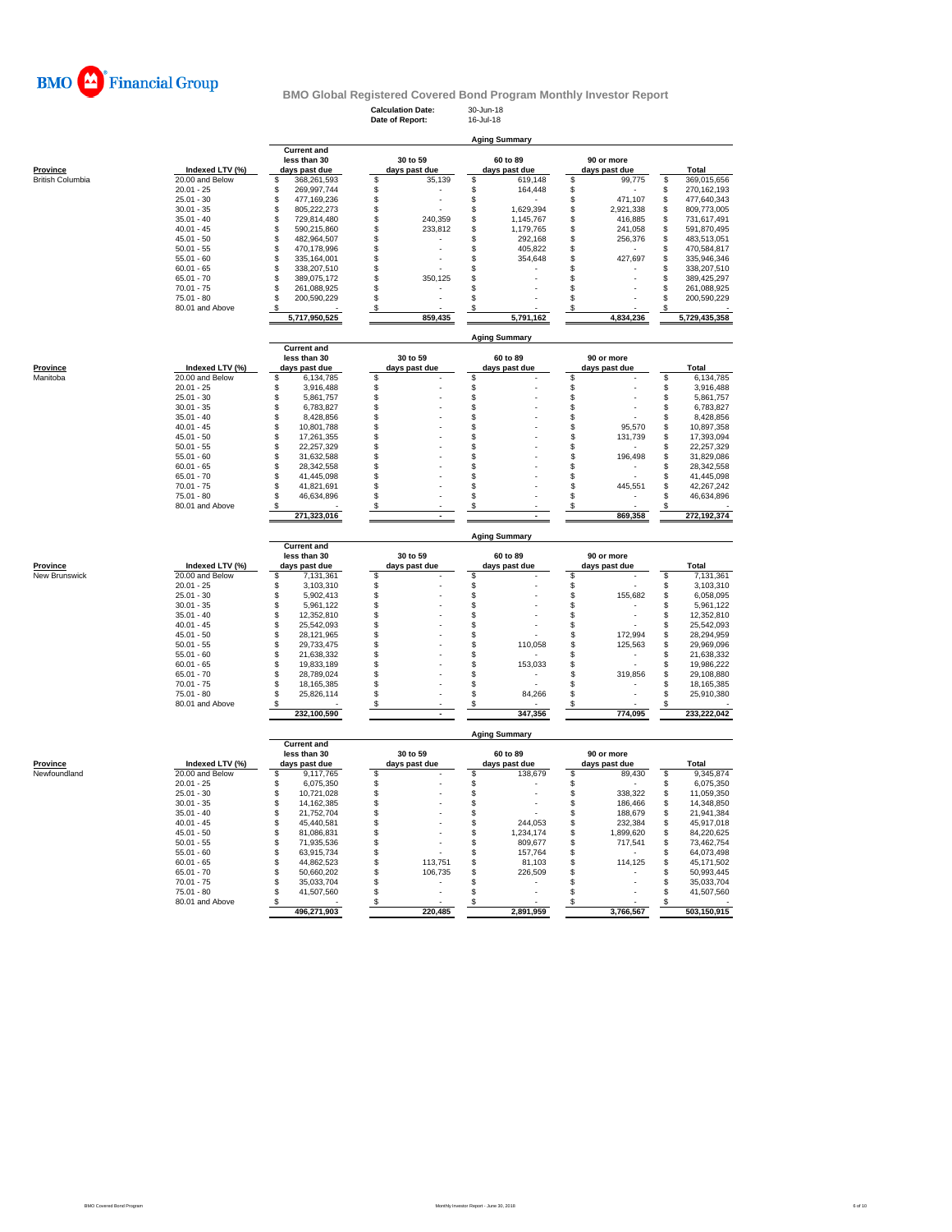

**Calculation Date:** 30-Jun-18 **Date of Report:** 16-Jul-18

**Aging Summary**

|                         |                                 | <b>Current and</b> |                           |          |                      |    |               |                |               |
|-------------------------|---------------------------------|--------------------|---------------------------|----------|----------------------|----|---------------|----------------|---------------|
|                         |                                 | less than 30       | 30 to 59                  |          | 60 to 89             |    | 90 or more    |                |               |
| Province                | Indexed LTV (%)                 | days past due      | days past due             |          | days past due        |    | days past due |                | <b>Total</b>  |
| <b>British Columbia</b> | 20.00 and Below                 | \$<br>368,261,593  | \$<br>35,139              | \$       | 619,148              | \$ | 99,775        | \$             | 369,015,656   |
|                         | $20.01 - 25$                    | \$<br>269,997,744  | \$                        | \$       | 164,448              | \$ |               | \$             | 270,162,193   |
|                         | $25.01 - 30$                    | \$<br>477,169,236  | \$                        | \$<br>l, |                      | \$ | 471,107       | \$             | 477,640,343   |
|                         | $30.01 - 35$                    | \$<br>805,222,273  | \$                        | \$       | 1,629,394            | \$ | 2,921,338     | \$             | 809,773,005   |
|                         | $35.01 - 40$                    | \$<br>729,814,480  | \$<br>240,359             | \$       | 1,145,767            | \$ | 416,885       | \$             | 731,617,491   |
|                         | $40.01 - 45$                    | \$<br>590,215,860  | \$                        |          |                      | \$ |               |                |               |
|                         |                                 |                    | 233,812                   | \$       | 1,179,765            |    | 241,058       | \$             | 591,870,495   |
|                         | $45.01 - 50$                    | \$<br>482,964,507  | \$                        | \$       | 292,168              | \$ | 256,376       | \$             | 483,513,051   |
|                         | $50.01 - 55$                    | \$<br>470,178,996  | \$                        | \$       | 405,822              | \$ |               | \$             | 470,584,817   |
|                         | $55.01 - 60$                    | \$<br>335,164,001  | \$                        | \$       | 354,648              | \$ | 427,697       | \$             | 335,946,346   |
|                         | $60.01 - 65$                    | \$<br>338,207,510  | \$                        | \$       |                      | \$ |               | \$             | 338,207,510   |
|                         | $65.01 - 70$                    | \$<br>389,075,172  | $$\mathbb{S}$$<br>350,125 | \$       |                      | \$ |               | $$\mathbb{S}$$ | 389,425,297   |
|                         | $70.01 - 75$                    | \$<br>261,088,925  | \$                        | \$       |                      | \$ |               | \$             | 261,088,925   |
|                         | $75.01 - 80$                    | \$<br>200,590,229  | \$                        | \$       |                      | \$ |               | \$             | 200,590,229   |
|                         | 80.01 and Above                 |                    | S                         | S        |                      | \$ |               | S              |               |
|                         |                                 |                    |                           |          |                      |    | 4.834.236     |                |               |
|                         |                                 | 5,717,950,525      | 859,435                   |          | 5,791,162            |    |               |                | 5,729,435,358 |
|                         |                                 |                    |                           |          |                      |    |               |                |               |
|                         |                                 |                    |                           |          | <b>Aging Summary</b> |    |               |                |               |
|                         |                                 | <b>Current and</b> |                           |          |                      |    |               |                |               |
|                         |                                 | less than 30       | 30 to 59                  |          | 60 to 89             |    | 90 or more    |                |               |
| Province                | Indexed LTV (%)                 | days past due      | days past due             |          | days past due        |    | days past due |                | Total         |
| Manitoba                | 20.00 and Below                 | \$<br>6,134,785    | \$                        | \$       |                      | \$ |               | \$             | 6,134,785     |
|                         | $20.01 - 25$                    | \$<br>3,916,488    | \$                        | \$       |                      | \$ |               | \$             | 3,916,488     |
|                         | $25.01 - 30$                    | \$<br>5,861,757    | \$                        | \$       |                      | \$ |               | \$             | 5,861,757     |
|                         |                                 |                    |                           |          |                      |    |               |                |               |
|                         | $30.01 - 35$                    | \$<br>6,783,827    | \$                        | \$       |                      | \$ |               | \$             | 6,783,827     |
|                         | $35.01 - 40$                    | \$<br>8,428,856    | \$                        | \$       |                      | \$ |               | \$             | 8,428,856     |
|                         | $40.01 - 45$                    | \$<br>10,801,788   | \$                        | \$       |                      | \$ | 95.570        | \$             | 10,897,358    |
|                         | $45.01 - 50$                    | \$<br>17,261,355   | \$                        | \$       |                      | \$ | 131,739       | \$             | 17,393,094    |
|                         | $50.01 - 55$                    | \$<br>22,257,329   | \$                        | \$       |                      | \$ |               | \$             | 22,257,329    |
|                         | $55.01 - 60$                    | \$<br>31,632,588   | \$                        | \$       |                      | \$ | 196,498       | \$             | 31,829,086    |
|                         | $60.01 - 65$                    | \$<br>28,342,558   | \$                        | \$       |                      | \$ |               | \$.            | 28,342,558    |
|                         | $65.01 - 70$                    | \$<br>41,445,098   | \$                        | \$       |                      | \$ |               | \$             | 41,445,098    |
|                         | $70.01 - 75$                    | \$<br>41,821,691   | \$                        | \$       |                      | \$ |               | \$             | 42,267,242    |
|                         |                                 |                    |                           |          |                      |    | 445,551       |                |               |
|                         | $75.01 - 80$                    | \$.<br>46,634,896  | \$                        | \$       |                      | \$ |               | \$.            | 46,634,896    |
|                         | 80.01 and Above                 | \$                 | \$                        | \$       |                      | \$ |               | S              |               |
|                         |                                 | 271,323,016        |                           |          |                      |    | 869,358       |                | 272,192,374   |
|                         |                                 |                    |                           |          |                      |    |               |                |               |
|                         |                                 |                    |                           |          | <b>Aging Summary</b> |    |               |                |               |
|                         |                                 | <b>Current and</b> |                           |          |                      |    |               |                |               |
|                         |                                 | less than 30       | 30 to 59                  |          | 60 to 89             |    | 90 or more    |                |               |
| Province                | Indexed LTV (%)                 | days past due      | days past due             |          | days past due        |    | days past due |                | Total         |
|                         |                                 |                    |                           | \$       |                      | \$ |               |                | 7,131,361     |
|                         |                                 |                    |                           |          |                      |    |               |                |               |
| New Brunswick           | 20.00 and Below                 | \$<br>7,131,361    | \$                        |          |                      |    |               | \$             |               |
|                         | $20.01 - 25$                    | \$<br>3,103,310    | \$                        | \$       |                      | \$ |               | \$             | 3,103,310     |
|                         | $25.01 - 30$                    | \$<br>5,902,413    | \$                        | \$       |                      | \$ | 155,682       | \$             | 6,058,095     |
|                         | $30.01 - 35$                    | \$<br>5,961,122    | \$                        | \$       |                      | \$ |               | \$             | 5,961,122     |
|                         | $35.01 - 40$                    | \$<br>12.352.810   | \$                        | \$       |                      | \$ |               | \$             | 12,352,810    |
|                         | $40.01 - 45$                    | \$<br>25,542,093   | \$                        | \$       |                      | \$ | ÷.            | \$             | 25,542,093    |
|                         | $45.01 - 50$                    | \$<br>28,121,965   | \$                        | \$       |                      | \$ | 172,994       | \$             | 28,294,959    |
|                         | $50.01 - 55$                    | \$<br>29,733,475   | \$                        | \$       | 110,058              | \$ | 125,563       | \$             | 29,969,096    |
|                         | $55.01 - 60$                    | \$<br>21,638,332   | \$                        |          |                      | \$ |               | \$             | 21,638,332    |
|                         |                                 |                    |                           | \$       |                      |    |               |                |               |
|                         | $60.01 - 65$                    | \$<br>19,833,189   | \$                        | \$       | 153,033              | \$ |               | \$             | 19,986,222    |
|                         | $65.01 - 70$                    | \$<br>28,789,024   | \$                        | \$       |                      | \$ | 319,856       | \$             | 29,108,880    |
|                         | $70.01 - 75$                    | \$<br>18,165,385   | \$                        | \$       |                      | \$ |               | \$             | 18,165,385    |
|                         | $75.01 - 80$                    | \$.<br>25,826,114  | \$                        | \$       | 84,266               | \$ |               | \$             | 25,910,380    |
|                         | 80.01 and Above                 | \$                 | \$                        | \$       |                      | S  |               |                |               |
|                         |                                 | 232,100,590        |                           |          | 347,356              |    | 774,095       |                | 233,222,042   |
|                         |                                 |                    |                           |          |                      |    |               |                |               |
|                         |                                 |                    |                           |          | <b>Aging Summary</b> |    |               |                |               |
|                         |                                 | <b>Current and</b> |                           |          |                      |    |               |                |               |
|                         |                                 | less than 30       | 30 to 59                  |          | 60 to 89             |    | 90 or more    |                |               |
| Province                | Indexed LTV (%)                 |                    | days past due             |          | days past due        |    | days past due |                | Total         |
| Newfoundland            |                                 | days past due      |                           |          |                      |    |               |                | 9,345,874     |
|                         | 20.00 and Below<br>$20.01 - 25$ | \$<br>9,117,765    | \$                        | \$       | 138,679              | \$ | 89,430        | \$             |               |
|                         |                                 | \$<br>6,075,350    | \$                        | \$       |                      | \$ |               | \$             | 6,075,350     |
|                         | $25.01 - 30$                    | \$<br>10,721,028   | \$                        | \$       |                      | \$ | 338.322       | \$             | 11,059,350    |
|                         | $30.01 - 35$                    | \$<br>14, 162, 385 | \$                        | \$       |                      | \$ | 186,466       | \$             | 14,348,850    |
|                         | $35.01 - 40$                    | \$<br>21,752,704   | \$                        | \$       |                      | \$ | 188,679       | \$             | 21,941,384    |
|                         | $40.01 - 45$                    | \$<br>45,440,581   | \$                        | \$       | 244,053              | \$ | 232,384       | \$             | 45,917,018    |
|                         | $45.01 - 50$                    | \$<br>81,086,831   | \$                        | \$       | 1,234,174            | \$ | 1,899,620     | \$             | 84,220,625    |
|                         | $50.01 - 55$                    | \$<br>71,935,536   | \$                        | \$       | 809,677              | \$ | 717,541       | \$             | 73,462,754    |
|                         | $55.01 - 60$                    | \$<br>63,915,734   | \$                        | \$       | 157,764              | \$ |               | \$             | 64,073,498    |
|                         | $60.01 - 65$                    | \$<br>44,862,523   | \$<br>113,751             | \$       | 81,103               | \$ | 114,125       | \$             | 45,171,502    |
|                         | $65.01 - 70$                    | \$<br>50,660,202   | \$<br>106,735             | \$       | 226,509              | \$ |               | \$             | 50,993,445    |
|                         | $70.01 - 75$                    |                    |                           |          |                      | \$ |               |                |               |
|                         |                                 | \$<br>35,033,704   | \$                        | \$       |                      |    |               | \$             | 35,033,704    |
|                         | $75.01 - 80$                    | \$<br>41,507,560   | \$                        | \$       |                      | \$ |               | \$             | 41,507,560    |
|                         | 80.01 and Above                 | \$                 | \$                        | \$       |                      | \$ |               | S              |               |
|                         |                                 | 496,271,903        | 220,485                   |          | 2,891,959            |    | 3,766,567     |                | 503,150,915   |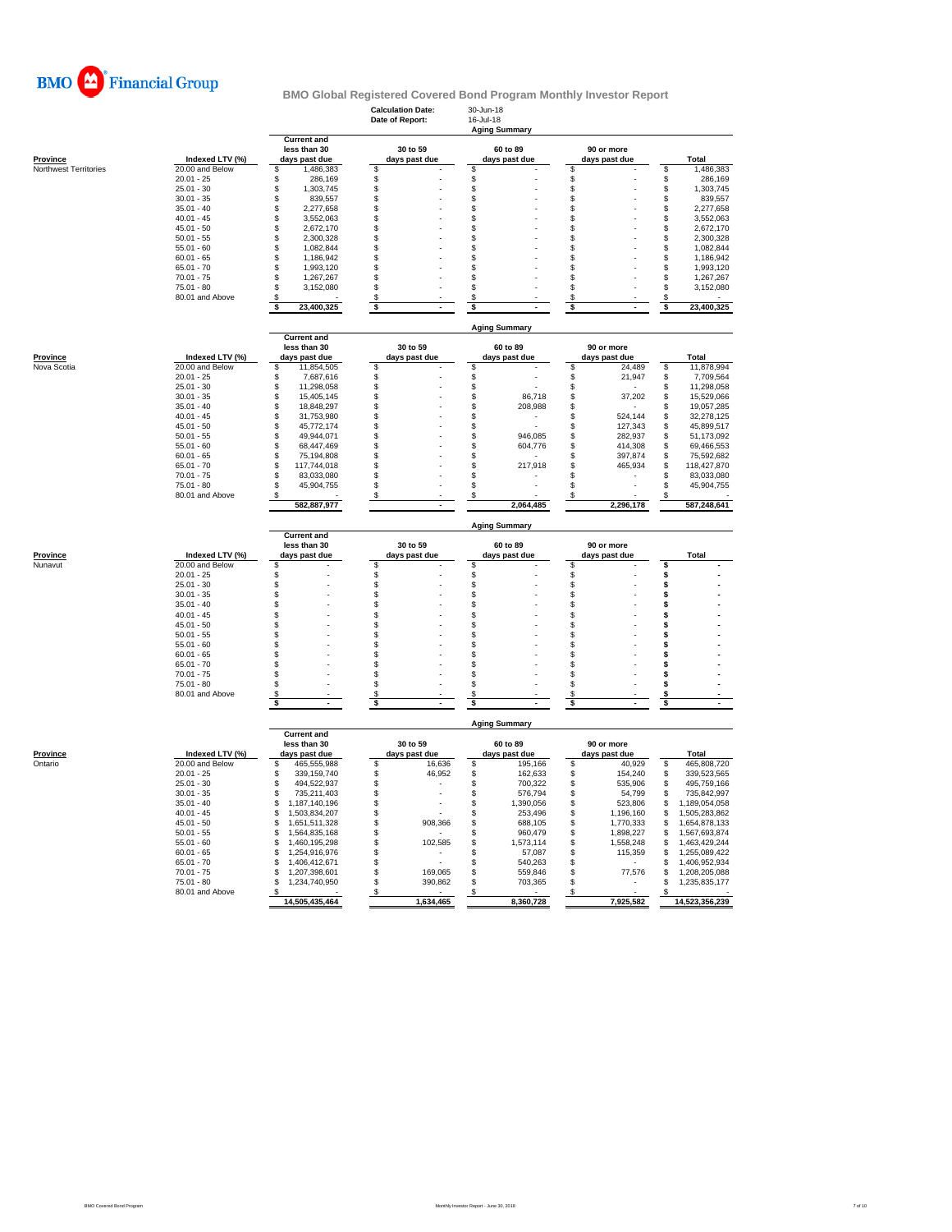

|                       |                               |                                    | <b>Calculation Date:</b><br>Date of Report: | 30-Jun-18<br>16-Jul-18<br><b>Aging Summary</b> |                     |                                  |
|-----------------------|-------------------------------|------------------------------------|---------------------------------------------|------------------------------------------------|---------------------|----------------------------------|
|                       |                               | <b>Current and</b><br>less than 30 | 30 to 59                                    | 60 to 89                                       | 90 or more          |                                  |
| <b>Province</b>       | Indexed LTV (%)               | days past due                      | days past due                               | days past due                                  | days past due       | Total                            |
| Northwest Territories | 20.00 and Below               | 1,486,383<br>\$                    | \$                                          | \$                                             | \$                  | 1,486,383<br>\$                  |
|                       | $20.01 - 25$<br>$25.01 - 30$  | \$<br>286,169<br>\$<br>1,303,745   | \$<br>\$                                    | \$<br>$\mathbb{S}$                             | \$<br>\$            | \$<br>286,169<br>1,303,745<br>\$ |
|                       | $30.01 - 35$                  | \$<br>839,557                      | \$                                          | \$                                             | \$                  | 839,557<br>\$                    |
|                       | $35.01 - 40$                  | \$<br>2,277,658                    | \$                                          | \$                                             | \$                  | S<br>2,277,658                   |
|                       | $40.01 - 45$                  | \$<br>3,552,063                    | \$                                          | \$                                             | \$                  | 3,552,063<br>\$                  |
|                       | $45.01 - 50$                  | \$<br>2,672,170                    | \$                                          | \$                                             | \$                  | \$<br>2,672,170                  |
|                       | $50.01 - 55$                  | \$<br>2,300,328                    | \$                                          | \$                                             | \$                  | S<br>2.300.328                   |
|                       | $55.01 - 60$                  | \$<br>1,082,844                    | \$                                          | \$                                             | \$                  | \$<br>1,082,844                  |
|                       | $60.01 - 65$                  | \$<br>1,186,942                    | \$                                          | \$                                             | \$                  | \$<br>1,186,942                  |
|                       | $65.01 - 70$                  | \$<br>1.993.120                    | \$                                          | \$                                             | \$                  | 1,993,120<br>S                   |
|                       | $70.01 - 75$                  | \$<br>1,267,267                    | \$                                          | \$                                             | \$                  | \$<br>1,267,267                  |
|                       | 75.01 - 80                    | \$<br>3,152,080                    | \$                                          | \$                                             | \$                  | S<br>3,152,080                   |
|                       | 80.01 and Above               | \$                                 | \$                                          | \$                                             | \$                  | \$                               |
|                       |                               | \$<br>23,400,325                   | \$                                          | \$                                             | \$                  | 23,400,325<br>\$                 |
|                       |                               | <b>Current and</b>                 |                                             | <b>Aging Summary</b>                           |                     |                                  |
|                       |                               | less than 30                       | 30 to 59                                    | 60 to 89                                       | 90 or more          |                                  |
| <b>Province</b>       | Indexed LTV (%)               | days past due                      | days past due                               | days past due                                  | days past due       | Total                            |
| Nova Scotia           | 20.00 and Below               | \$<br>11,854,505                   | \$                                          | \$                                             | \$<br>24,489        | 11,878,994<br>\$                 |
|                       | $20.01 - 25$                  | \$<br>7,687,616                    | \$                                          | \$                                             | \$<br>21,947        | \$<br>7,709,564                  |
|                       | $25.01 - 30$                  | \$<br>11,298,058                   | \$                                          | \$                                             | \$                  | \$<br>11,298,058                 |
|                       | $30.01 - 35$                  | \$<br>15,405,145                   | \$                                          | \$<br>86,718                                   | \$<br>37,202        | \$<br>15,529,066                 |
|                       | $35.01 - 40$                  | \$<br>18,848,297                   | \$                                          | \$<br>208,988                                  | \$                  | 19,057,285<br>S                  |
|                       | $40.01 - 45$                  | \$<br>31,753,980                   | \$                                          | \$                                             | \$<br>524,144       | \$<br>32,278,125                 |
|                       | $45.01 - 50$                  | \$<br>45,772,174                   | \$                                          | \$                                             | \$<br>127,343       | \$<br>45,899,517                 |
|                       | $50.01 - 55$                  | \$<br>49,944,071                   | \$                                          | \$<br>946,085                                  | \$<br>282,937       | 51,173,092<br>S                  |
|                       | $55.01 - 60$                  | Ŝ<br>68,447,469                    | \$                                          | \$<br>604,776                                  | \$<br>414,308       | \$<br>69,466,553                 |
|                       | $60.01 - 65$                  | \$<br>75,194,808                   | \$                                          | \$                                             | \$<br>397,874       | \$<br>75,592,682                 |
|                       | $65.01 - 70$                  | \$<br>117,744,018                  | \$                                          | \$<br>217,918                                  | \$<br>465,934       | S<br>118,427,870                 |
|                       | $70.01 - 75$                  | \$<br>83,033,080                   | \$                                          | \$                                             | \$                  | \$<br>83,033,080                 |
|                       | 75.01 - 80<br>80.01 and Above | \$<br>45,904,755                   | \$<br>S.                                    | \$<br>\$                                       | \$                  | \$<br>45,904,755                 |
|                       |                               | 582,887,977                        |                                             | 2,064,485                                      | 2,296,178           | 587,248,641                      |
|                       |                               |                                    |                                             |                                                |                     |                                  |
|                       |                               |                                    |                                             | <b>Aging Summary</b>                           |                     |                                  |
|                       |                               | <b>Current and</b>                 |                                             |                                                |                     |                                  |
|                       | Indexed LTV (%)               | less than 30<br>days past due      | 30 to 59                                    | 60 to 89                                       | 90 or more          | Total                            |
| Province<br>Nunavut   | 20.00 and Below               | \$                                 | days past due<br>\$                         | days past due<br>\$                            | days past due<br>\$ | \$                               |
|                       | $20.01 - 25$                  | \$                                 | \$                                          | \$                                             | \$                  | \$                               |
|                       | $25.01 - 30$                  | \$                                 | \$                                          | \$                                             | \$                  | \$                               |
|                       | $30.01 - 35$                  | \$                                 | \$                                          | \$                                             | \$                  | \$                               |
|                       | $35.01 - 40$                  | \$                                 | \$                                          | \$                                             | \$                  | \$                               |
|                       | $40.01 - 45$                  | \$                                 | \$                                          | \$                                             | \$                  | \$                               |
|                       | $45.01 - 50$                  | \$                                 | \$                                          | \$                                             | \$                  | \$                               |
|                       | $50.01 - 55$                  | \$                                 | \$                                          | \$                                             | \$                  | \$                               |
|                       | $55.01 - 60$                  | \$                                 | \$                                          | \$                                             | \$                  | \$                               |
|                       | $60.01 - 65$                  | \$                                 | \$                                          | \$                                             | \$                  | \$                               |
|                       | $65.01 - 70$                  | \$                                 | \$                                          | \$                                             | \$                  | \$                               |
|                       | $70.01 - 75$                  | \$                                 | \$                                          | \$                                             | \$                  | \$                               |
|                       | $75.01 - 80$                  | \$                                 | \$                                          | \$                                             | \$                  | \$                               |
|                       | 80.01 and Above               | \$<br>\$                           | \$<br>s                                     | \$                                             | \$<br>\$            | s<br>\$                          |
|                       |                               |                                    |                                             | \$                                             |                     |                                  |
|                       |                               |                                    |                                             | <b>Aging Summary</b>                           |                     |                                  |
|                       |                               | <b>Current and</b><br>less than 30 | 30 to 59                                    | 60 to 89                                       | 90 or more          |                                  |
| <b>Province</b>       | Indexed LTV (%)               | days past due                      | days past due                               | days past due                                  | days past due       | Total                            |
| Ontario               | 20.00 and Below               | 465,555,988<br>\$                  | \$<br>16,636                                | \$<br>195,166                                  | \$<br>40,929        | \$<br>465,808,720                |
|                       | $20.01 - 25$                  | S<br>339,159,740                   | 46,952<br>\$                                | \$<br>162,633                                  | \$<br>154,240       | \$<br>339,523,565                |
|                       | $25.01 - 30$                  | 494.522.937<br>\$                  | \$                                          | \$<br>700,322                                  | \$<br>535,906       | 495,759,166<br>\$                |
|                       | $30.01 - 35$                  | \$<br>735,211,403                  | \$                                          | \$<br>576,794                                  | \$<br>54,799        | 735,842,997<br>\$                |
|                       | $35.01 - 40$                  | \$<br>1,187,140,196                | \$                                          | \$<br>1,390,056                                | \$<br>523,806       | S<br>1,189,054,058               |
|                       | $40.01 - 45$                  | \$<br>1,503,834,207                | \$                                          | \$<br>253,496                                  | \$<br>1,196,160     | \$<br>1,505,283,862              |
|                       | $45.01 - 50$                  | \$<br>1,651,511,328                | \$<br>908,366                               | \$<br>688,105                                  | \$<br>1,770,333     | \$<br>1,654,878,133              |
|                       | $50.01 - 55$                  | \$<br>1.564.835.168                | \$                                          | \$<br>960.479                                  | \$<br>1,898,227     | \$<br>1,567,693,874              |
|                       | $55.01 - 60$                  | \$<br>1,460,195,298                | \$<br>102,585                               | \$<br>1,573,114                                | \$<br>1,558,248     | \$<br>1,463,429,244              |
|                       | $60.01 - 65$                  | \$<br>1,254,916,976                | \$<br>ä,                                    | \$<br>57,087                                   | \$<br>115,359       | \$<br>1,255,089,422              |
|                       | $65.01 - 70$                  | \$<br>1,406,412,671                | \$                                          | \$<br>540,263                                  | \$                  | 1,406,952,934<br>\$              |
|                       | $70.01 - 75$                  | \$<br>1,207,398,601                | \$<br>169,065                               | \$<br>559,846                                  | \$<br>77,576        | 1,208,205,088<br>\$              |
|                       | 75.01 - 80<br>80.01 and Above | 1,234,740,950<br>\$                | \$<br>390,862                               | \$<br>703,365                                  | \$                  | \$<br>1,235,835,177              |
|                       |                               | \$<br>14,505,435,464               | \$<br>1,634,465                             | \$<br>8,360,728                                | \$<br>7,925,582     | \$<br>14,523,356,239             |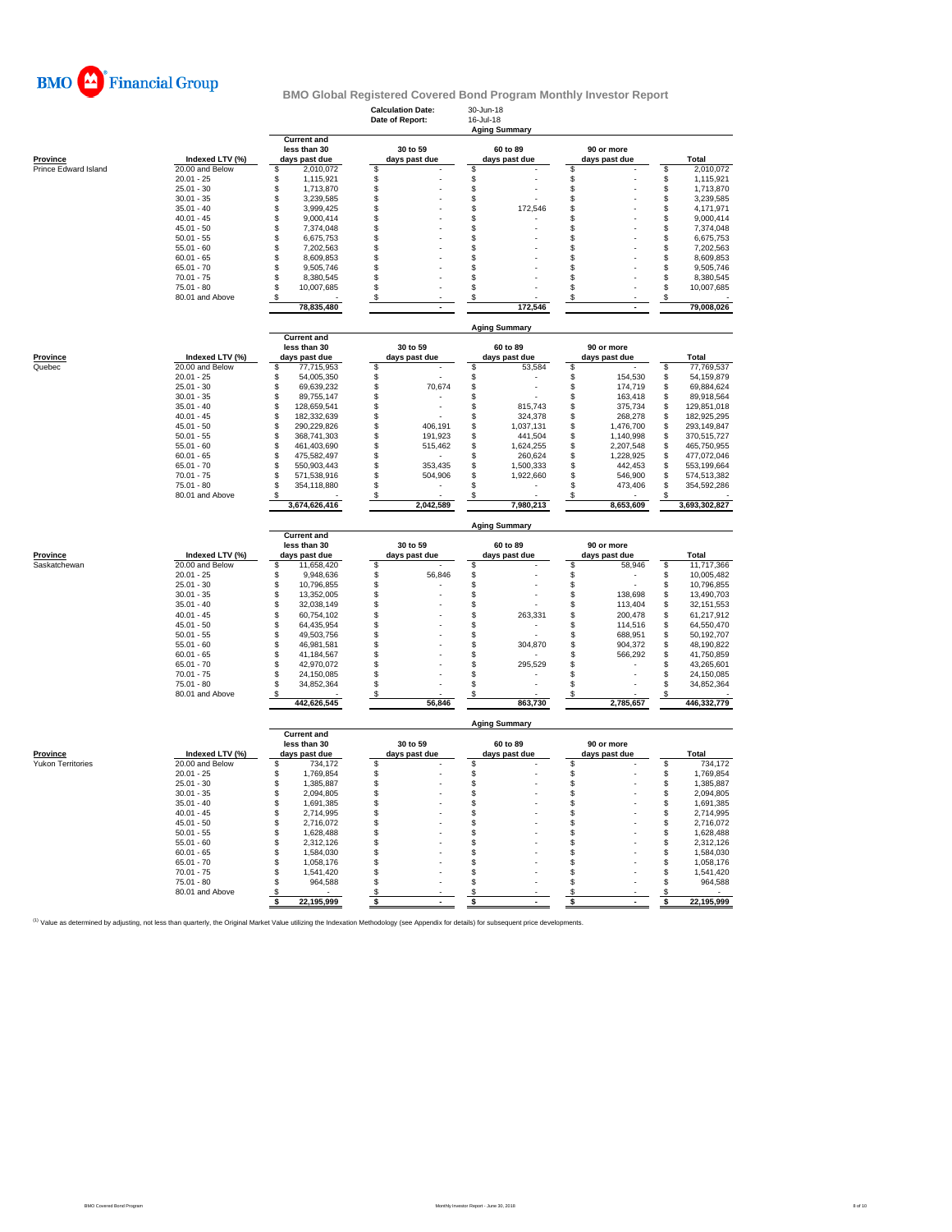

| less than 30<br>30 to 59<br>60 to 89<br>90 or more<br>Indexed LTV (%)<br>Total<br><b>Province</b><br>days past due<br>days past due<br>days past due<br>days past due<br>20.00 and Below<br>\$<br>\$<br>2,010,072<br>Prince Edward Island<br>\$<br>2,010,072<br>\$<br>\$<br>\$<br>\$<br>$20.01 - 25$<br>\$<br>1,115,921<br>\$<br>\$<br>1,115,921<br>\$<br>\$<br>$$\mathbb{S}$$<br>$\mathsf{\$}$<br>$\ddot{\$}$<br>$25.01 - 30$<br>1,713,870<br>1,713,870<br>\$<br>\$<br>\$<br>$30.01 - 35$<br>\$<br>3,239,585<br>\$<br>3,239,585<br>\$<br>\$<br>$35.01 - 40$<br>\$<br>3,999,425<br>\$<br>172,546<br>\$<br>4,171,971<br>\$<br>$40.01 - 45$<br>9,000,414<br>9,000,414<br>\$<br>\$<br>\$<br>\$<br>\$<br>7,374,048<br>\$<br>\$<br>\$<br>\$<br>7,374,048<br>$45.01 - 50$<br>\$<br>\$<br>\$<br>\$<br>\$<br>$50.01 - 55$<br>6,675,753<br>6,675,753<br>$55.01 - 60$<br>\$<br>\$<br>\$<br>\$<br>\$<br>7.202.563<br>7.202.563<br>$60.01 - 65$<br>\$<br>8,609,853<br>\$<br>\$<br>\$<br>\$<br>8,609,853<br>$65.01 - 70$<br>\$<br>\$<br>\$<br>9,505,746<br>\$<br>S<br>9,505,746<br>$70.01 - 75$<br>8,380,545<br>\$<br>\$<br>8,380,545<br>\$<br>\$<br>\$<br>75.01 - 80<br>\$<br>10,007,685<br>\$<br>\$<br>\$<br>10,007,685<br>\$<br>\$<br>80.01 and Above<br>\$<br>\$<br>\$<br>\$<br>78,835,480<br>172.546<br>79,008,026<br><b>Aging Summary</b><br><b>Current and</b><br>less than 30<br>30 to 59<br>60 to 89<br>90 or more<br>Province<br>Indexed LTV (%)<br>days past due<br>days past due<br>days past due<br>days past due<br>Total<br>Quebec<br>20.00 and Below<br>\$<br>\$<br>\$<br>\$<br>\$<br>77,769,537<br>77.715.953<br>53.584<br>$20.01 - 25$<br>\$<br>54,005,350<br>\$<br>\$<br>\$<br>154,530<br>\$<br>54,159,879<br>$25.01 - 30$<br>\$<br>\$<br>69,639,232<br>\$<br>70,674<br>174,719<br>\$<br>69,884,624<br>$30.01 - 35$<br>\$<br>\$<br>\$<br>89,755,147<br>\$<br>\$<br>163,418<br>89,918,564<br>$35.01 - 40$<br>128,659,541<br>815,743<br>\$<br>129,851,018<br>\$<br>\$<br>\$<br>\$<br>375,734<br>\$<br>$40.01 - 45$<br>182,332,639<br>\$<br>\$<br>324,378<br>\$<br>268,278<br>\$<br>182,925,295<br>$$\mathbb{S}$$<br>\$<br>\$<br>\$<br>\$<br>$45.01 - 50$<br>290,229,826<br>406,191<br>1,037,131<br>293,149,847<br>1,476,700<br>\$<br>368,741,303<br>\$<br>\$<br>\$<br>$50.01 - 55$<br>191,923<br>441,504<br>1,140,998<br>\$<br>370,515,727<br>\$<br>$55.01 - 60$<br>\$<br>461,403,690<br>\$<br>515,462<br>1,624,255<br>\$<br>2,207,548<br>\$<br>465,750,955<br>$60.01 - 65$<br>\$<br>475,582,497<br>\$<br>\$<br>1,228,925<br>\$<br>\$<br>260,624<br>477.072.046<br>353,435<br>$65.01 - 70$<br>\$<br>550,903,443<br>\$<br>\$<br>1,500,333<br>\$<br>442,453<br>\$<br>553,199,664<br>$70.01 - 75$<br>\$<br>571,538,916<br>\$<br>504,906<br>S<br>1,922,660<br>\$<br>546,900<br>\$<br>574,513,382<br>\$<br>$75.01 - 80$<br>\$<br>\$<br>\$<br>473,406<br>354,118,880<br>\$<br>354,592,286<br>80.01 and Above<br>S<br>S<br>S<br>3,674,626,416<br>2,042,589<br>7,980,213<br>8,653,609<br>3,693,302,827<br><b>Aging Summary</b><br><b>Current and</b><br>30 to 59<br>60 to 89<br>90 or more<br>less than 30<br>Province<br>Indexed LTV (%)<br>days past due<br>days past due<br>Total<br>days past due<br>days past due<br>20.00 and Below<br>Saskatchewan<br>\$<br>11,658,420<br>\$<br>\$<br>\$<br>58,946<br>\$<br>11,717,366<br>\$<br>\$<br>$20.01 - 25$<br>9,948,636<br>10,005,482<br>\$<br>\$<br>56,846<br>\$<br>\$<br>$25.01 - 30$<br>\$<br>10,796,855<br>\$<br>\$<br>\$<br>10,796,855<br>\$<br>\$<br>$30.01 - 35$<br>\$<br>13,352,005<br>\$<br>138,698<br>\$<br>13,490,703<br>$$\mathbb{S}$$<br>\$<br>£.<br>\$<br>113,404<br>\$<br>$35.01 - 40$<br>32.038.149<br>32, 151, 553<br>\$<br>\$<br>$40.01 - 45$<br>60,754,102<br>\$<br>263,331<br>\$<br>200,478<br>\$<br>61,217,912<br>$45.01 - 50$<br>\$<br>64,435,954<br>\$<br>\$<br>\$<br>114,516<br>\$<br>64,550,470<br>$50.01 - 55$<br>\$<br>688,951<br>\$<br>\$<br>49.503.756<br>\$<br>\$<br>50.192.707<br>$55.01 - 60$<br>\$<br>46,981,581<br>\$<br>\$<br>304,870<br>\$<br>904,372<br>\$<br>48,190,822<br>\$<br>\$<br>\$<br>\$<br>\$<br>$60.01 - 65$<br>41,184,567<br>566,292<br>41,750,859<br>$65.01 - 70$<br>\$<br>42,970,072<br>\$<br>\$<br>\$<br>\$<br>43,265,601<br>295.529<br>$70.01 - 75$<br>\$<br>24,150,085<br>\$<br>\$<br>\$<br>\$<br>24,150,085<br>\$<br>\$<br>\$<br>$75.01 - 80$<br>S<br>34,852,364<br>\$<br>34,852,364<br>80.01 and Above<br>\$<br>\$<br>\$<br>\$<br>\$<br>442,626,545<br>56,846<br>863,730<br>2,785,657<br>446,332,779<br><b>Aging Summary</b><br><b>Current and</b><br>less than 30<br>30 to 59<br>60 to 89<br>90 or more<br>Indexed LTV (%)<br>days past due<br><b>Total</b><br><b>Province</b><br>days past due<br>days past due<br>days past due<br><b>Yukon Territories</b><br>20.00 and Below<br>\$<br>734,172<br>\$<br>\$<br>\$<br>\$<br>734,172<br>$20.01 - 25$<br>\$<br>1,769,854<br>\$<br>\$<br>\$<br>\$<br>1,769,854<br>\$<br>\$<br>\$<br>\$<br>\$<br>$25.01 - 30$<br>1,385,887<br>1,385,887<br>\$<br>\$<br>\$<br>$30.01 - 35$<br>\$<br>2,094,805<br>\$<br>2,094,805<br>$35.01 - 40$<br>\$<br>1,691,385<br>\$<br>\$<br>\$<br>\$<br>1,691,385<br>\$<br>$40.01 - 45$<br>\$<br>\$<br>\$<br>2,714,995<br>\$<br>2,714,995<br>\$<br>2,716,072<br>\$<br>\$<br>\$<br>$45.01 - 50$<br>\$<br>2,716,072<br>\$<br>\$<br>$50.01 - 55$<br>\$<br>1,628,488<br>\$<br>\$<br>1,628,488<br>\$<br>\$<br>\$<br>\$<br>$55.01 - 60$<br>\$.<br>2.312.126<br>2.312.126<br>\$<br>\$<br>$60.01 - 65$<br>\$<br>1,584,030<br>\$<br>\$<br>1,584,030<br>\$<br>$65.01 - 70$<br>\$<br>1,058,176<br>\$<br>\$<br>\$<br>1,058,176<br>$70.01 - 75$<br>\$<br>\$<br>\$<br>\$<br>\$<br>1.541.420<br>1.541.420<br>\$<br>\$<br>\$<br>\$<br>75.01 - 80<br>\$<br>964,588<br>964,588<br>80.01 and Above<br>\$<br>\$<br>\$<br>\$<br>\$<br>22,195,999<br>22,195,999<br>\$<br>Ŝ<br>\$<br>\$<br>\$ |  |  |                    | <b>Calculation Date:</b><br>Date of Report: | 30-Jun-18<br>16-Jul-18<br><b>Aging Summary</b> |  |  |  |  |  |  |  |  |
|----------------------------------------------------------------------------------------------------------------------------------------------------------------------------------------------------------------------------------------------------------------------------------------------------------------------------------------------------------------------------------------------------------------------------------------------------------------------------------------------------------------------------------------------------------------------------------------------------------------------------------------------------------------------------------------------------------------------------------------------------------------------------------------------------------------------------------------------------------------------------------------------------------------------------------------------------------------------------------------------------------------------------------------------------------------------------------------------------------------------------------------------------------------------------------------------------------------------------------------------------------------------------------------------------------------------------------------------------------------------------------------------------------------------------------------------------------------------------------------------------------------------------------------------------------------------------------------------------------------------------------------------------------------------------------------------------------------------------------------------------------------------------------------------------------------------------------------------------------------------------------------------------------------------------------------------------------------------------------------------------------------------------------------------------------------------------------------------------------------------------------------------------------------------------------------------------------------------------------------------------------------------------------------------------------------------------------------------------------------------------------------------------------------------------------------------------------------------------------------------------------------------------------------------------------------------------------------------------------------------------------------------------------------------------------------------------------------------------------------------------------------------------------------------------------------------------------------------------------------------------------------------------------------------------------------------------------------------------------------------------------------------------------------------------------------------------------------------------------------------------------------------------------------------------------------------------------------------------------------------------------------------------------------------------------------------------------------------------------------------------------------------------------------------------------------------------------------------------------------------------------------------------------------------------------------------------------------------------------------------------------------------------------------------------------------------------------------------------------------------------------------------------------------------------------------------------------------------------------------------------------------------------------------------------------------------------------------------------------------------------------------------------------------------------------------------------------------------------------------------------------------------------------------------------------------------------------------------------------------------------------------------------------------------------------------------------------------------------------------------------------------------------------------------------------------------------------------------------------------------------------------------------------------------------------------------------------------------------------------------------------------------------------------------------------------------------------------------------------------------------------------------------------------------------------------------------------------------------------------------------------------------------------------------------------------------------------------------------------------------------------------------------------------------------------------------------------------------------------------------------------------------------------------------------------------------------------------------------------------------------------------------------------------------------------------------------------------------------------------------------------------------------------------------------------------------------------------------------------------------------------------------------------------------------------------------------------------------------------------------------------------------------------------------------------------------------------------------------------------------------------------------------------------------------------------------------------------------|--|--|--------------------|---------------------------------------------|------------------------------------------------|--|--|--|--|--|--|--|--|
|                                                                                                                                                                                                                                                                                                                                                                                                                                                                                                                                                                                                                                                                                                                                                                                                                                                                                                                                                                                                                                                                                                                                                                                                                                                                                                                                                                                                                                                                                                                                                                                                                                                                                                                                                                                                                                                                                                                                                                                                                                                                                                                                                                                                                                                                                                                                                                                                                                                                                                                                                                                                                                                                                                                                                                                                                                                                                                                                                                                                                                                                                                                                                                                                                                                                                                                                                                                                                                                                                                                                                                                                                                                                                                                                                                                                                                                                                                                                                                                                                                                                                                                                                                                                                                                                                                                                                                                                                                                                                                                                                                                                                                                                                                                                                                                                                                                                                                                                                                                                                                                                                                                                                                                                                                                                                                                                                                                                                                                                                                                                                                                                                                                                                                                                                                                                                                              |  |  | <b>Current and</b> |                                             |                                                |  |  |  |  |  |  |  |  |
|                                                                                                                                                                                                                                                                                                                                                                                                                                                                                                                                                                                                                                                                                                                                                                                                                                                                                                                                                                                                                                                                                                                                                                                                                                                                                                                                                                                                                                                                                                                                                                                                                                                                                                                                                                                                                                                                                                                                                                                                                                                                                                                                                                                                                                                                                                                                                                                                                                                                                                                                                                                                                                                                                                                                                                                                                                                                                                                                                                                                                                                                                                                                                                                                                                                                                                                                                                                                                                                                                                                                                                                                                                                                                                                                                                                                                                                                                                                                                                                                                                                                                                                                                                                                                                                                                                                                                                                                                                                                                                                                                                                                                                                                                                                                                                                                                                                                                                                                                                                                                                                                                                                                                                                                                                                                                                                                                                                                                                                                                                                                                                                                                                                                                                                                                                                                                                              |  |  |                    |                                             |                                                |  |  |  |  |  |  |  |  |
|                                                                                                                                                                                                                                                                                                                                                                                                                                                                                                                                                                                                                                                                                                                                                                                                                                                                                                                                                                                                                                                                                                                                                                                                                                                                                                                                                                                                                                                                                                                                                                                                                                                                                                                                                                                                                                                                                                                                                                                                                                                                                                                                                                                                                                                                                                                                                                                                                                                                                                                                                                                                                                                                                                                                                                                                                                                                                                                                                                                                                                                                                                                                                                                                                                                                                                                                                                                                                                                                                                                                                                                                                                                                                                                                                                                                                                                                                                                                                                                                                                                                                                                                                                                                                                                                                                                                                                                                                                                                                                                                                                                                                                                                                                                                                                                                                                                                                                                                                                                                                                                                                                                                                                                                                                                                                                                                                                                                                                                                                                                                                                                                                                                                                                                                                                                                                                              |  |  |                    |                                             |                                                |  |  |  |  |  |  |  |  |
|                                                                                                                                                                                                                                                                                                                                                                                                                                                                                                                                                                                                                                                                                                                                                                                                                                                                                                                                                                                                                                                                                                                                                                                                                                                                                                                                                                                                                                                                                                                                                                                                                                                                                                                                                                                                                                                                                                                                                                                                                                                                                                                                                                                                                                                                                                                                                                                                                                                                                                                                                                                                                                                                                                                                                                                                                                                                                                                                                                                                                                                                                                                                                                                                                                                                                                                                                                                                                                                                                                                                                                                                                                                                                                                                                                                                                                                                                                                                                                                                                                                                                                                                                                                                                                                                                                                                                                                                                                                                                                                                                                                                                                                                                                                                                                                                                                                                                                                                                                                                                                                                                                                                                                                                                                                                                                                                                                                                                                                                                                                                                                                                                                                                                                                                                                                                                                              |  |  |                    |                                             |                                                |  |  |  |  |  |  |  |  |
|                                                                                                                                                                                                                                                                                                                                                                                                                                                                                                                                                                                                                                                                                                                                                                                                                                                                                                                                                                                                                                                                                                                                                                                                                                                                                                                                                                                                                                                                                                                                                                                                                                                                                                                                                                                                                                                                                                                                                                                                                                                                                                                                                                                                                                                                                                                                                                                                                                                                                                                                                                                                                                                                                                                                                                                                                                                                                                                                                                                                                                                                                                                                                                                                                                                                                                                                                                                                                                                                                                                                                                                                                                                                                                                                                                                                                                                                                                                                                                                                                                                                                                                                                                                                                                                                                                                                                                                                                                                                                                                                                                                                                                                                                                                                                                                                                                                                                                                                                                                                                                                                                                                                                                                                                                                                                                                                                                                                                                                                                                                                                                                                                                                                                                                                                                                                                                              |  |  |                    |                                             |                                                |  |  |  |  |  |  |  |  |
|                                                                                                                                                                                                                                                                                                                                                                                                                                                                                                                                                                                                                                                                                                                                                                                                                                                                                                                                                                                                                                                                                                                                                                                                                                                                                                                                                                                                                                                                                                                                                                                                                                                                                                                                                                                                                                                                                                                                                                                                                                                                                                                                                                                                                                                                                                                                                                                                                                                                                                                                                                                                                                                                                                                                                                                                                                                                                                                                                                                                                                                                                                                                                                                                                                                                                                                                                                                                                                                                                                                                                                                                                                                                                                                                                                                                                                                                                                                                                                                                                                                                                                                                                                                                                                                                                                                                                                                                                                                                                                                                                                                                                                                                                                                                                                                                                                                                                                                                                                                                                                                                                                                                                                                                                                                                                                                                                                                                                                                                                                                                                                                                                                                                                                                                                                                                                                              |  |  |                    |                                             |                                                |  |  |  |  |  |  |  |  |
|                                                                                                                                                                                                                                                                                                                                                                                                                                                                                                                                                                                                                                                                                                                                                                                                                                                                                                                                                                                                                                                                                                                                                                                                                                                                                                                                                                                                                                                                                                                                                                                                                                                                                                                                                                                                                                                                                                                                                                                                                                                                                                                                                                                                                                                                                                                                                                                                                                                                                                                                                                                                                                                                                                                                                                                                                                                                                                                                                                                                                                                                                                                                                                                                                                                                                                                                                                                                                                                                                                                                                                                                                                                                                                                                                                                                                                                                                                                                                                                                                                                                                                                                                                                                                                                                                                                                                                                                                                                                                                                                                                                                                                                                                                                                                                                                                                                                                                                                                                                                                                                                                                                                                                                                                                                                                                                                                                                                                                                                                                                                                                                                                                                                                                                                                                                                                                              |  |  |                    |                                             |                                                |  |  |  |  |  |  |  |  |
|                                                                                                                                                                                                                                                                                                                                                                                                                                                                                                                                                                                                                                                                                                                                                                                                                                                                                                                                                                                                                                                                                                                                                                                                                                                                                                                                                                                                                                                                                                                                                                                                                                                                                                                                                                                                                                                                                                                                                                                                                                                                                                                                                                                                                                                                                                                                                                                                                                                                                                                                                                                                                                                                                                                                                                                                                                                                                                                                                                                                                                                                                                                                                                                                                                                                                                                                                                                                                                                                                                                                                                                                                                                                                                                                                                                                                                                                                                                                                                                                                                                                                                                                                                                                                                                                                                                                                                                                                                                                                                                                                                                                                                                                                                                                                                                                                                                                                                                                                                                                                                                                                                                                                                                                                                                                                                                                                                                                                                                                                                                                                                                                                                                                                                                                                                                                                                              |  |  |                    |                                             |                                                |  |  |  |  |  |  |  |  |
|                                                                                                                                                                                                                                                                                                                                                                                                                                                                                                                                                                                                                                                                                                                                                                                                                                                                                                                                                                                                                                                                                                                                                                                                                                                                                                                                                                                                                                                                                                                                                                                                                                                                                                                                                                                                                                                                                                                                                                                                                                                                                                                                                                                                                                                                                                                                                                                                                                                                                                                                                                                                                                                                                                                                                                                                                                                                                                                                                                                                                                                                                                                                                                                                                                                                                                                                                                                                                                                                                                                                                                                                                                                                                                                                                                                                                                                                                                                                                                                                                                                                                                                                                                                                                                                                                                                                                                                                                                                                                                                                                                                                                                                                                                                                                                                                                                                                                                                                                                                                                                                                                                                                                                                                                                                                                                                                                                                                                                                                                                                                                                                                                                                                                                                                                                                                                                              |  |  |                    |                                             |                                                |  |  |  |  |  |  |  |  |
|                                                                                                                                                                                                                                                                                                                                                                                                                                                                                                                                                                                                                                                                                                                                                                                                                                                                                                                                                                                                                                                                                                                                                                                                                                                                                                                                                                                                                                                                                                                                                                                                                                                                                                                                                                                                                                                                                                                                                                                                                                                                                                                                                                                                                                                                                                                                                                                                                                                                                                                                                                                                                                                                                                                                                                                                                                                                                                                                                                                                                                                                                                                                                                                                                                                                                                                                                                                                                                                                                                                                                                                                                                                                                                                                                                                                                                                                                                                                                                                                                                                                                                                                                                                                                                                                                                                                                                                                                                                                                                                                                                                                                                                                                                                                                                                                                                                                                                                                                                                                                                                                                                                                                                                                                                                                                                                                                                                                                                                                                                                                                                                                                                                                                                                                                                                                                                              |  |  |                    |                                             |                                                |  |  |  |  |  |  |  |  |
|                                                                                                                                                                                                                                                                                                                                                                                                                                                                                                                                                                                                                                                                                                                                                                                                                                                                                                                                                                                                                                                                                                                                                                                                                                                                                                                                                                                                                                                                                                                                                                                                                                                                                                                                                                                                                                                                                                                                                                                                                                                                                                                                                                                                                                                                                                                                                                                                                                                                                                                                                                                                                                                                                                                                                                                                                                                                                                                                                                                                                                                                                                                                                                                                                                                                                                                                                                                                                                                                                                                                                                                                                                                                                                                                                                                                                                                                                                                                                                                                                                                                                                                                                                                                                                                                                                                                                                                                                                                                                                                                                                                                                                                                                                                                                                                                                                                                                                                                                                                                                                                                                                                                                                                                                                                                                                                                                                                                                                                                                                                                                                                                                                                                                                                                                                                                                                              |  |  |                    |                                             |                                                |  |  |  |  |  |  |  |  |
|                                                                                                                                                                                                                                                                                                                                                                                                                                                                                                                                                                                                                                                                                                                                                                                                                                                                                                                                                                                                                                                                                                                                                                                                                                                                                                                                                                                                                                                                                                                                                                                                                                                                                                                                                                                                                                                                                                                                                                                                                                                                                                                                                                                                                                                                                                                                                                                                                                                                                                                                                                                                                                                                                                                                                                                                                                                                                                                                                                                                                                                                                                                                                                                                                                                                                                                                                                                                                                                                                                                                                                                                                                                                                                                                                                                                                                                                                                                                                                                                                                                                                                                                                                                                                                                                                                                                                                                                                                                                                                                                                                                                                                                                                                                                                                                                                                                                                                                                                                                                                                                                                                                                                                                                                                                                                                                                                                                                                                                                                                                                                                                                                                                                                                                                                                                                                                              |  |  |                    |                                             |                                                |  |  |  |  |  |  |  |  |
|                                                                                                                                                                                                                                                                                                                                                                                                                                                                                                                                                                                                                                                                                                                                                                                                                                                                                                                                                                                                                                                                                                                                                                                                                                                                                                                                                                                                                                                                                                                                                                                                                                                                                                                                                                                                                                                                                                                                                                                                                                                                                                                                                                                                                                                                                                                                                                                                                                                                                                                                                                                                                                                                                                                                                                                                                                                                                                                                                                                                                                                                                                                                                                                                                                                                                                                                                                                                                                                                                                                                                                                                                                                                                                                                                                                                                                                                                                                                                                                                                                                                                                                                                                                                                                                                                                                                                                                                                                                                                                                                                                                                                                                                                                                                                                                                                                                                                                                                                                                                                                                                                                                                                                                                                                                                                                                                                                                                                                                                                                                                                                                                                                                                                                                                                                                                                                              |  |  |                    |                                             |                                                |  |  |  |  |  |  |  |  |
|                                                                                                                                                                                                                                                                                                                                                                                                                                                                                                                                                                                                                                                                                                                                                                                                                                                                                                                                                                                                                                                                                                                                                                                                                                                                                                                                                                                                                                                                                                                                                                                                                                                                                                                                                                                                                                                                                                                                                                                                                                                                                                                                                                                                                                                                                                                                                                                                                                                                                                                                                                                                                                                                                                                                                                                                                                                                                                                                                                                                                                                                                                                                                                                                                                                                                                                                                                                                                                                                                                                                                                                                                                                                                                                                                                                                                                                                                                                                                                                                                                                                                                                                                                                                                                                                                                                                                                                                                                                                                                                                                                                                                                                                                                                                                                                                                                                                                                                                                                                                                                                                                                                                                                                                                                                                                                                                                                                                                                                                                                                                                                                                                                                                                                                                                                                                                                              |  |  |                    |                                             |                                                |  |  |  |  |  |  |  |  |
|                                                                                                                                                                                                                                                                                                                                                                                                                                                                                                                                                                                                                                                                                                                                                                                                                                                                                                                                                                                                                                                                                                                                                                                                                                                                                                                                                                                                                                                                                                                                                                                                                                                                                                                                                                                                                                                                                                                                                                                                                                                                                                                                                                                                                                                                                                                                                                                                                                                                                                                                                                                                                                                                                                                                                                                                                                                                                                                                                                                                                                                                                                                                                                                                                                                                                                                                                                                                                                                                                                                                                                                                                                                                                                                                                                                                                                                                                                                                                                                                                                                                                                                                                                                                                                                                                                                                                                                                                                                                                                                                                                                                                                                                                                                                                                                                                                                                                                                                                                                                                                                                                                                                                                                                                                                                                                                                                                                                                                                                                                                                                                                                                                                                                                                                                                                                                                              |  |  |                    |                                             |                                                |  |  |  |  |  |  |  |  |
|                                                                                                                                                                                                                                                                                                                                                                                                                                                                                                                                                                                                                                                                                                                                                                                                                                                                                                                                                                                                                                                                                                                                                                                                                                                                                                                                                                                                                                                                                                                                                                                                                                                                                                                                                                                                                                                                                                                                                                                                                                                                                                                                                                                                                                                                                                                                                                                                                                                                                                                                                                                                                                                                                                                                                                                                                                                                                                                                                                                                                                                                                                                                                                                                                                                                                                                                                                                                                                                                                                                                                                                                                                                                                                                                                                                                                                                                                                                                                                                                                                                                                                                                                                                                                                                                                                                                                                                                                                                                                                                                                                                                                                                                                                                                                                                                                                                                                                                                                                                                                                                                                                                                                                                                                                                                                                                                                                                                                                                                                                                                                                                                                                                                                                                                                                                                                                              |  |  |                    |                                             |                                                |  |  |  |  |  |  |  |  |
|                                                                                                                                                                                                                                                                                                                                                                                                                                                                                                                                                                                                                                                                                                                                                                                                                                                                                                                                                                                                                                                                                                                                                                                                                                                                                                                                                                                                                                                                                                                                                                                                                                                                                                                                                                                                                                                                                                                                                                                                                                                                                                                                                                                                                                                                                                                                                                                                                                                                                                                                                                                                                                                                                                                                                                                                                                                                                                                                                                                                                                                                                                                                                                                                                                                                                                                                                                                                                                                                                                                                                                                                                                                                                                                                                                                                                                                                                                                                                                                                                                                                                                                                                                                                                                                                                                                                                                                                                                                                                                                                                                                                                                                                                                                                                                                                                                                                                                                                                                                                                                                                                                                                                                                                                                                                                                                                                                                                                                                                                                                                                                                                                                                                                                                                                                                                                                              |  |  |                    |                                             |                                                |  |  |  |  |  |  |  |  |
|                                                                                                                                                                                                                                                                                                                                                                                                                                                                                                                                                                                                                                                                                                                                                                                                                                                                                                                                                                                                                                                                                                                                                                                                                                                                                                                                                                                                                                                                                                                                                                                                                                                                                                                                                                                                                                                                                                                                                                                                                                                                                                                                                                                                                                                                                                                                                                                                                                                                                                                                                                                                                                                                                                                                                                                                                                                                                                                                                                                                                                                                                                                                                                                                                                                                                                                                                                                                                                                                                                                                                                                                                                                                                                                                                                                                                                                                                                                                                                                                                                                                                                                                                                                                                                                                                                                                                                                                                                                                                                                                                                                                                                                                                                                                                                                                                                                                                                                                                                                                                                                                                                                                                                                                                                                                                                                                                                                                                                                                                                                                                                                                                                                                                                                                                                                                                                              |  |  |                    |                                             |                                                |  |  |  |  |  |  |  |  |
|                                                                                                                                                                                                                                                                                                                                                                                                                                                                                                                                                                                                                                                                                                                                                                                                                                                                                                                                                                                                                                                                                                                                                                                                                                                                                                                                                                                                                                                                                                                                                                                                                                                                                                                                                                                                                                                                                                                                                                                                                                                                                                                                                                                                                                                                                                                                                                                                                                                                                                                                                                                                                                                                                                                                                                                                                                                                                                                                                                                                                                                                                                                                                                                                                                                                                                                                                                                                                                                                                                                                                                                                                                                                                                                                                                                                                                                                                                                                                                                                                                                                                                                                                                                                                                                                                                                                                                                                                                                                                                                                                                                                                                                                                                                                                                                                                                                                                                                                                                                                                                                                                                                                                                                                                                                                                                                                                                                                                                                                                                                                                                                                                                                                                                                                                                                                                                              |  |  |                    |                                             |                                                |  |  |  |  |  |  |  |  |
|                                                                                                                                                                                                                                                                                                                                                                                                                                                                                                                                                                                                                                                                                                                                                                                                                                                                                                                                                                                                                                                                                                                                                                                                                                                                                                                                                                                                                                                                                                                                                                                                                                                                                                                                                                                                                                                                                                                                                                                                                                                                                                                                                                                                                                                                                                                                                                                                                                                                                                                                                                                                                                                                                                                                                                                                                                                                                                                                                                                                                                                                                                                                                                                                                                                                                                                                                                                                                                                                                                                                                                                                                                                                                                                                                                                                                                                                                                                                                                                                                                                                                                                                                                                                                                                                                                                                                                                                                                                                                                                                                                                                                                                                                                                                                                                                                                                                                                                                                                                                                                                                                                                                                                                                                                                                                                                                                                                                                                                                                                                                                                                                                                                                                                                                                                                                                                              |  |  |                    |                                             |                                                |  |  |  |  |  |  |  |  |
|                                                                                                                                                                                                                                                                                                                                                                                                                                                                                                                                                                                                                                                                                                                                                                                                                                                                                                                                                                                                                                                                                                                                                                                                                                                                                                                                                                                                                                                                                                                                                                                                                                                                                                                                                                                                                                                                                                                                                                                                                                                                                                                                                                                                                                                                                                                                                                                                                                                                                                                                                                                                                                                                                                                                                                                                                                                                                                                                                                                                                                                                                                                                                                                                                                                                                                                                                                                                                                                                                                                                                                                                                                                                                                                                                                                                                                                                                                                                                                                                                                                                                                                                                                                                                                                                                                                                                                                                                                                                                                                                                                                                                                                                                                                                                                                                                                                                                                                                                                                                                                                                                                                                                                                                                                                                                                                                                                                                                                                                                                                                                                                                                                                                                                                                                                                                                                              |  |  |                    |                                             |                                                |  |  |  |  |  |  |  |  |
|                                                                                                                                                                                                                                                                                                                                                                                                                                                                                                                                                                                                                                                                                                                                                                                                                                                                                                                                                                                                                                                                                                                                                                                                                                                                                                                                                                                                                                                                                                                                                                                                                                                                                                                                                                                                                                                                                                                                                                                                                                                                                                                                                                                                                                                                                                                                                                                                                                                                                                                                                                                                                                                                                                                                                                                                                                                                                                                                                                                                                                                                                                                                                                                                                                                                                                                                                                                                                                                                                                                                                                                                                                                                                                                                                                                                                                                                                                                                                                                                                                                                                                                                                                                                                                                                                                                                                                                                                                                                                                                                                                                                                                                                                                                                                                                                                                                                                                                                                                                                                                                                                                                                                                                                                                                                                                                                                                                                                                                                                                                                                                                                                                                                                                                                                                                                                                              |  |  |                    |                                             |                                                |  |  |  |  |  |  |  |  |
|                                                                                                                                                                                                                                                                                                                                                                                                                                                                                                                                                                                                                                                                                                                                                                                                                                                                                                                                                                                                                                                                                                                                                                                                                                                                                                                                                                                                                                                                                                                                                                                                                                                                                                                                                                                                                                                                                                                                                                                                                                                                                                                                                                                                                                                                                                                                                                                                                                                                                                                                                                                                                                                                                                                                                                                                                                                                                                                                                                                                                                                                                                                                                                                                                                                                                                                                                                                                                                                                                                                                                                                                                                                                                                                                                                                                                                                                                                                                                                                                                                                                                                                                                                                                                                                                                                                                                                                                                                                                                                                                                                                                                                                                                                                                                                                                                                                                                                                                                                                                                                                                                                                                                                                                                                                                                                                                                                                                                                                                                                                                                                                                                                                                                                                                                                                                                                              |  |  |                    |                                             |                                                |  |  |  |  |  |  |  |  |
|                                                                                                                                                                                                                                                                                                                                                                                                                                                                                                                                                                                                                                                                                                                                                                                                                                                                                                                                                                                                                                                                                                                                                                                                                                                                                                                                                                                                                                                                                                                                                                                                                                                                                                                                                                                                                                                                                                                                                                                                                                                                                                                                                                                                                                                                                                                                                                                                                                                                                                                                                                                                                                                                                                                                                                                                                                                                                                                                                                                                                                                                                                                                                                                                                                                                                                                                                                                                                                                                                                                                                                                                                                                                                                                                                                                                                                                                                                                                                                                                                                                                                                                                                                                                                                                                                                                                                                                                                                                                                                                                                                                                                                                                                                                                                                                                                                                                                                                                                                                                                                                                                                                                                                                                                                                                                                                                                                                                                                                                                                                                                                                                                                                                                                                                                                                                                                              |  |  |                    |                                             |                                                |  |  |  |  |  |  |  |  |
|                                                                                                                                                                                                                                                                                                                                                                                                                                                                                                                                                                                                                                                                                                                                                                                                                                                                                                                                                                                                                                                                                                                                                                                                                                                                                                                                                                                                                                                                                                                                                                                                                                                                                                                                                                                                                                                                                                                                                                                                                                                                                                                                                                                                                                                                                                                                                                                                                                                                                                                                                                                                                                                                                                                                                                                                                                                                                                                                                                                                                                                                                                                                                                                                                                                                                                                                                                                                                                                                                                                                                                                                                                                                                                                                                                                                                                                                                                                                                                                                                                                                                                                                                                                                                                                                                                                                                                                                                                                                                                                                                                                                                                                                                                                                                                                                                                                                                                                                                                                                                                                                                                                                                                                                                                                                                                                                                                                                                                                                                                                                                                                                                                                                                                                                                                                                                                              |  |  |                    |                                             |                                                |  |  |  |  |  |  |  |  |
|                                                                                                                                                                                                                                                                                                                                                                                                                                                                                                                                                                                                                                                                                                                                                                                                                                                                                                                                                                                                                                                                                                                                                                                                                                                                                                                                                                                                                                                                                                                                                                                                                                                                                                                                                                                                                                                                                                                                                                                                                                                                                                                                                                                                                                                                                                                                                                                                                                                                                                                                                                                                                                                                                                                                                                                                                                                                                                                                                                                                                                                                                                                                                                                                                                                                                                                                                                                                                                                                                                                                                                                                                                                                                                                                                                                                                                                                                                                                                                                                                                                                                                                                                                                                                                                                                                                                                                                                                                                                                                                                                                                                                                                                                                                                                                                                                                                                                                                                                                                                                                                                                                                                                                                                                                                                                                                                                                                                                                                                                                                                                                                                                                                                                                                                                                                                                                              |  |  |                    |                                             |                                                |  |  |  |  |  |  |  |  |
|                                                                                                                                                                                                                                                                                                                                                                                                                                                                                                                                                                                                                                                                                                                                                                                                                                                                                                                                                                                                                                                                                                                                                                                                                                                                                                                                                                                                                                                                                                                                                                                                                                                                                                                                                                                                                                                                                                                                                                                                                                                                                                                                                                                                                                                                                                                                                                                                                                                                                                                                                                                                                                                                                                                                                                                                                                                                                                                                                                                                                                                                                                                                                                                                                                                                                                                                                                                                                                                                                                                                                                                                                                                                                                                                                                                                                                                                                                                                                                                                                                                                                                                                                                                                                                                                                                                                                                                                                                                                                                                                                                                                                                                                                                                                                                                                                                                                                                                                                                                                                                                                                                                                                                                                                                                                                                                                                                                                                                                                                                                                                                                                                                                                                                                                                                                                                                              |  |  |                    |                                             |                                                |  |  |  |  |  |  |  |  |
|                                                                                                                                                                                                                                                                                                                                                                                                                                                                                                                                                                                                                                                                                                                                                                                                                                                                                                                                                                                                                                                                                                                                                                                                                                                                                                                                                                                                                                                                                                                                                                                                                                                                                                                                                                                                                                                                                                                                                                                                                                                                                                                                                                                                                                                                                                                                                                                                                                                                                                                                                                                                                                                                                                                                                                                                                                                                                                                                                                                                                                                                                                                                                                                                                                                                                                                                                                                                                                                                                                                                                                                                                                                                                                                                                                                                                                                                                                                                                                                                                                                                                                                                                                                                                                                                                                                                                                                                                                                                                                                                                                                                                                                                                                                                                                                                                                                                                                                                                                                                                                                                                                                                                                                                                                                                                                                                                                                                                                                                                                                                                                                                                                                                                                                                                                                                                                              |  |  |                    |                                             |                                                |  |  |  |  |  |  |  |  |
|                                                                                                                                                                                                                                                                                                                                                                                                                                                                                                                                                                                                                                                                                                                                                                                                                                                                                                                                                                                                                                                                                                                                                                                                                                                                                                                                                                                                                                                                                                                                                                                                                                                                                                                                                                                                                                                                                                                                                                                                                                                                                                                                                                                                                                                                                                                                                                                                                                                                                                                                                                                                                                                                                                                                                                                                                                                                                                                                                                                                                                                                                                                                                                                                                                                                                                                                                                                                                                                                                                                                                                                                                                                                                                                                                                                                                                                                                                                                                                                                                                                                                                                                                                                                                                                                                                                                                                                                                                                                                                                                                                                                                                                                                                                                                                                                                                                                                                                                                                                                                                                                                                                                                                                                                                                                                                                                                                                                                                                                                                                                                                                                                                                                                                                                                                                                                                              |  |  |                    |                                             |                                                |  |  |  |  |  |  |  |  |
|                                                                                                                                                                                                                                                                                                                                                                                                                                                                                                                                                                                                                                                                                                                                                                                                                                                                                                                                                                                                                                                                                                                                                                                                                                                                                                                                                                                                                                                                                                                                                                                                                                                                                                                                                                                                                                                                                                                                                                                                                                                                                                                                                                                                                                                                                                                                                                                                                                                                                                                                                                                                                                                                                                                                                                                                                                                                                                                                                                                                                                                                                                                                                                                                                                                                                                                                                                                                                                                                                                                                                                                                                                                                                                                                                                                                                                                                                                                                                                                                                                                                                                                                                                                                                                                                                                                                                                                                                                                                                                                                                                                                                                                                                                                                                                                                                                                                                                                                                                                                                                                                                                                                                                                                                                                                                                                                                                                                                                                                                                                                                                                                                                                                                                                                                                                                                                              |  |  |                    |                                             |                                                |  |  |  |  |  |  |  |  |
|                                                                                                                                                                                                                                                                                                                                                                                                                                                                                                                                                                                                                                                                                                                                                                                                                                                                                                                                                                                                                                                                                                                                                                                                                                                                                                                                                                                                                                                                                                                                                                                                                                                                                                                                                                                                                                                                                                                                                                                                                                                                                                                                                                                                                                                                                                                                                                                                                                                                                                                                                                                                                                                                                                                                                                                                                                                                                                                                                                                                                                                                                                                                                                                                                                                                                                                                                                                                                                                                                                                                                                                                                                                                                                                                                                                                                                                                                                                                                                                                                                                                                                                                                                                                                                                                                                                                                                                                                                                                                                                                                                                                                                                                                                                                                                                                                                                                                                                                                                                                                                                                                                                                                                                                                                                                                                                                                                                                                                                                                                                                                                                                                                                                                                                                                                                                                                              |  |  |                    |                                             |                                                |  |  |  |  |  |  |  |  |
|                                                                                                                                                                                                                                                                                                                                                                                                                                                                                                                                                                                                                                                                                                                                                                                                                                                                                                                                                                                                                                                                                                                                                                                                                                                                                                                                                                                                                                                                                                                                                                                                                                                                                                                                                                                                                                                                                                                                                                                                                                                                                                                                                                                                                                                                                                                                                                                                                                                                                                                                                                                                                                                                                                                                                                                                                                                                                                                                                                                                                                                                                                                                                                                                                                                                                                                                                                                                                                                                                                                                                                                                                                                                                                                                                                                                                                                                                                                                                                                                                                                                                                                                                                                                                                                                                                                                                                                                                                                                                                                                                                                                                                                                                                                                                                                                                                                                                                                                                                                                                                                                                                                                                                                                                                                                                                                                                                                                                                                                                                                                                                                                                                                                                                                                                                                                                                              |  |  |                    |                                             |                                                |  |  |  |  |  |  |  |  |
|                                                                                                                                                                                                                                                                                                                                                                                                                                                                                                                                                                                                                                                                                                                                                                                                                                                                                                                                                                                                                                                                                                                                                                                                                                                                                                                                                                                                                                                                                                                                                                                                                                                                                                                                                                                                                                                                                                                                                                                                                                                                                                                                                                                                                                                                                                                                                                                                                                                                                                                                                                                                                                                                                                                                                                                                                                                                                                                                                                                                                                                                                                                                                                                                                                                                                                                                                                                                                                                                                                                                                                                                                                                                                                                                                                                                                                                                                                                                                                                                                                                                                                                                                                                                                                                                                                                                                                                                                                                                                                                                                                                                                                                                                                                                                                                                                                                                                                                                                                                                                                                                                                                                                                                                                                                                                                                                                                                                                                                                                                                                                                                                                                                                                                                                                                                                                                              |  |  |                    |                                             |                                                |  |  |  |  |  |  |  |  |
|                                                                                                                                                                                                                                                                                                                                                                                                                                                                                                                                                                                                                                                                                                                                                                                                                                                                                                                                                                                                                                                                                                                                                                                                                                                                                                                                                                                                                                                                                                                                                                                                                                                                                                                                                                                                                                                                                                                                                                                                                                                                                                                                                                                                                                                                                                                                                                                                                                                                                                                                                                                                                                                                                                                                                                                                                                                                                                                                                                                                                                                                                                                                                                                                                                                                                                                                                                                                                                                                                                                                                                                                                                                                                                                                                                                                                                                                                                                                                                                                                                                                                                                                                                                                                                                                                                                                                                                                                                                                                                                                                                                                                                                                                                                                                                                                                                                                                                                                                                                                                                                                                                                                                                                                                                                                                                                                                                                                                                                                                                                                                                                                                                                                                                                                                                                                                                              |  |  |                    |                                             |                                                |  |  |  |  |  |  |  |  |
|                                                                                                                                                                                                                                                                                                                                                                                                                                                                                                                                                                                                                                                                                                                                                                                                                                                                                                                                                                                                                                                                                                                                                                                                                                                                                                                                                                                                                                                                                                                                                                                                                                                                                                                                                                                                                                                                                                                                                                                                                                                                                                                                                                                                                                                                                                                                                                                                                                                                                                                                                                                                                                                                                                                                                                                                                                                                                                                                                                                                                                                                                                                                                                                                                                                                                                                                                                                                                                                                                                                                                                                                                                                                                                                                                                                                                                                                                                                                                                                                                                                                                                                                                                                                                                                                                                                                                                                                                                                                                                                                                                                                                                                                                                                                                                                                                                                                                                                                                                                                                                                                                                                                                                                                                                                                                                                                                                                                                                                                                                                                                                                                                                                                                                                                                                                                                                              |  |  |                    |                                             |                                                |  |  |  |  |  |  |  |  |
|                                                                                                                                                                                                                                                                                                                                                                                                                                                                                                                                                                                                                                                                                                                                                                                                                                                                                                                                                                                                                                                                                                                                                                                                                                                                                                                                                                                                                                                                                                                                                                                                                                                                                                                                                                                                                                                                                                                                                                                                                                                                                                                                                                                                                                                                                                                                                                                                                                                                                                                                                                                                                                                                                                                                                                                                                                                                                                                                                                                                                                                                                                                                                                                                                                                                                                                                                                                                                                                                                                                                                                                                                                                                                                                                                                                                                                                                                                                                                                                                                                                                                                                                                                                                                                                                                                                                                                                                                                                                                                                                                                                                                                                                                                                                                                                                                                                                                                                                                                                                                                                                                                                                                                                                                                                                                                                                                                                                                                                                                                                                                                                                                                                                                                                                                                                                                                              |  |  |                    |                                             |                                                |  |  |  |  |  |  |  |  |
|                                                                                                                                                                                                                                                                                                                                                                                                                                                                                                                                                                                                                                                                                                                                                                                                                                                                                                                                                                                                                                                                                                                                                                                                                                                                                                                                                                                                                                                                                                                                                                                                                                                                                                                                                                                                                                                                                                                                                                                                                                                                                                                                                                                                                                                                                                                                                                                                                                                                                                                                                                                                                                                                                                                                                                                                                                                                                                                                                                                                                                                                                                                                                                                                                                                                                                                                                                                                                                                                                                                                                                                                                                                                                                                                                                                                                                                                                                                                                                                                                                                                                                                                                                                                                                                                                                                                                                                                                                                                                                                                                                                                                                                                                                                                                                                                                                                                                                                                                                                                                                                                                                                                                                                                                                                                                                                                                                                                                                                                                                                                                                                                                                                                                                                                                                                                                                              |  |  |                    |                                             |                                                |  |  |  |  |  |  |  |  |
|                                                                                                                                                                                                                                                                                                                                                                                                                                                                                                                                                                                                                                                                                                                                                                                                                                                                                                                                                                                                                                                                                                                                                                                                                                                                                                                                                                                                                                                                                                                                                                                                                                                                                                                                                                                                                                                                                                                                                                                                                                                                                                                                                                                                                                                                                                                                                                                                                                                                                                                                                                                                                                                                                                                                                                                                                                                                                                                                                                                                                                                                                                                                                                                                                                                                                                                                                                                                                                                                                                                                                                                                                                                                                                                                                                                                                                                                                                                                                                                                                                                                                                                                                                                                                                                                                                                                                                                                                                                                                                                                                                                                                                                                                                                                                                                                                                                                                                                                                                                                                                                                                                                                                                                                                                                                                                                                                                                                                                                                                                                                                                                                                                                                                                                                                                                                                                              |  |  |                    |                                             |                                                |  |  |  |  |  |  |  |  |
|                                                                                                                                                                                                                                                                                                                                                                                                                                                                                                                                                                                                                                                                                                                                                                                                                                                                                                                                                                                                                                                                                                                                                                                                                                                                                                                                                                                                                                                                                                                                                                                                                                                                                                                                                                                                                                                                                                                                                                                                                                                                                                                                                                                                                                                                                                                                                                                                                                                                                                                                                                                                                                                                                                                                                                                                                                                                                                                                                                                                                                                                                                                                                                                                                                                                                                                                                                                                                                                                                                                                                                                                                                                                                                                                                                                                                                                                                                                                                                                                                                                                                                                                                                                                                                                                                                                                                                                                                                                                                                                                                                                                                                                                                                                                                                                                                                                                                                                                                                                                                                                                                                                                                                                                                                                                                                                                                                                                                                                                                                                                                                                                                                                                                                                                                                                                                                              |  |  |                    |                                             |                                                |  |  |  |  |  |  |  |  |
|                                                                                                                                                                                                                                                                                                                                                                                                                                                                                                                                                                                                                                                                                                                                                                                                                                                                                                                                                                                                                                                                                                                                                                                                                                                                                                                                                                                                                                                                                                                                                                                                                                                                                                                                                                                                                                                                                                                                                                                                                                                                                                                                                                                                                                                                                                                                                                                                                                                                                                                                                                                                                                                                                                                                                                                                                                                                                                                                                                                                                                                                                                                                                                                                                                                                                                                                                                                                                                                                                                                                                                                                                                                                                                                                                                                                                                                                                                                                                                                                                                                                                                                                                                                                                                                                                                                                                                                                                                                                                                                                                                                                                                                                                                                                                                                                                                                                                                                                                                                                                                                                                                                                                                                                                                                                                                                                                                                                                                                                                                                                                                                                                                                                                                                                                                                                                                              |  |  |                    |                                             |                                                |  |  |  |  |  |  |  |  |
|                                                                                                                                                                                                                                                                                                                                                                                                                                                                                                                                                                                                                                                                                                                                                                                                                                                                                                                                                                                                                                                                                                                                                                                                                                                                                                                                                                                                                                                                                                                                                                                                                                                                                                                                                                                                                                                                                                                                                                                                                                                                                                                                                                                                                                                                                                                                                                                                                                                                                                                                                                                                                                                                                                                                                                                                                                                                                                                                                                                                                                                                                                                                                                                                                                                                                                                                                                                                                                                                                                                                                                                                                                                                                                                                                                                                                                                                                                                                                                                                                                                                                                                                                                                                                                                                                                                                                                                                                                                                                                                                                                                                                                                                                                                                                                                                                                                                                                                                                                                                                                                                                                                                                                                                                                                                                                                                                                                                                                                                                                                                                                                                                                                                                                                                                                                                                                              |  |  |                    |                                             |                                                |  |  |  |  |  |  |  |  |
|                                                                                                                                                                                                                                                                                                                                                                                                                                                                                                                                                                                                                                                                                                                                                                                                                                                                                                                                                                                                                                                                                                                                                                                                                                                                                                                                                                                                                                                                                                                                                                                                                                                                                                                                                                                                                                                                                                                                                                                                                                                                                                                                                                                                                                                                                                                                                                                                                                                                                                                                                                                                                                                                                                                                                                                                                                                                                                                                                                                                                                                                                                                                                                                                                                                                                                                                                                                                                                                                                                                                                                                                                                                                                                                                                                                                                                                                                                                                                                                                                                                                                                                                                                                                                                                                                                                                                                                                                                                                                                                                                                                                                                                                                                                                                                                                                                                                                                                                                                                                                                                                                                                                                                                                                                                                                                                                                                                                                                                                                                                                                                                                                                                                                                                                                                                                                                              |  |  |                    |                                             |                                                |  |  |  |  |  |  |  |  |
|                                                                                                                                                                                                                                                                                                                                                                                                                                                                                                                                                                                                                                                                                                                                                                                                                                                                                                                                                                                                                                                                                                                                                                                                                                                                                                                                                                                                                                                                                                                                                                                                                                                                                                                                                                                                                                                                                                                                                                                                                                                                                                                                                                                                                                                                                                                                                                                                                                                                                                                                                                                                                                                                                                                                                                                                                                                                                                                                                                                                                                                                                                                                                                                                                                                                                                                                                                                                                                                                                                                                                                                                                                                                                                                                                                                                                                                                                                                                                                                                                                                                                                                                                                                                                                                                                                                                                                                                                                                                                                                                                                                                                                                                                                                                                                                                                                                                                                                                                                                                                                                                                                                                                                                                                                                                                                                                                                                                                                                                                                                                                                                                                                                                                                                                                                                                                                              |  |  |                    |                                             |                                                |  |  |  |  |  |  |  |  |
|                                                                                                                                                                                                                                                                                                                                                                                                                                                                                                                                                                                                                                                                                                                                                                                                                                                                                                                                                                                                                                                                                                                                                                                                                                                                                                                                                                                                                                                                                                                                                                                                                                                                                                                                                                                                                                                                                                                                                                                                                                                                                                                                                                                                                                                                                                                                                                                                                                                                                                                                                                                                                                                                                                                                                                                                                                                                                                                                                                                                                                                                                                                                                                                                                                                                                                                                                                                                                                                                                                                                                                                                                                                                                                                                                                                                                                                                                                                                                                                                                                                                                                                                                                                                                                                                                                                                                                                                                                                                                                                                                                                                                                                                                                                                                                                                                                                                                                                                                                                                                                                                                                                                                                                                                                                                                                                                                                                                                                                                                                                                                                                                                                                                                                                                                                                                                                              |  |  |                    |                                             |                                                |  |  |  |  |  |  |  |  |
|                                                                                                                                                                                                                                                                                                                                                                                                                                                                                                                                                                                                                                                                                                                                                                                                                                                                                                                                                                                                                                                                                                                                                                                                                                                                                                                                                                                                                                                                                                                                                                                                                                                                                                                                                                                                                                                                                                                                                                                                                                                                                                                                                                                                                                                                                                                                                                                                                                                                                                                                                                                                                                                                                                                                                                                                                                                                                                                                                                                                                                                                                                                                                                                                                                                                                                                                                                                                                                                                                                                                                                                                                                                                                                                                                                                                                                                                                                                                                                                                                                                                                                                                                                                                                                                                                                                                                                                                                                                                                                                                                                                                                                                                                                                                                                                                                                                                                                                                                                                                                                                                                                                                                                                                                                                                                                                                                                                                                                                                                                                                                                                                                                                                                                                                                                                                                                              |  |  |                    |                                             |                                                |  |  |  |  |  |  |  |  |
|                                                                                                                                                                                                                                                                                                                                                                                                                                                                                                                                                                                                                                                                                                                                                                                                                                                                                                                                                                                                                                                                                                                                                                                                                                                                                                                                                                                                                                                                                                                                                                                                                                                                                                                                                                                                                                                                                                                                                                                                                                                                                                                                                                                                                                                                                                                                                                                                                                                                                                                                                                                                                                                                                                                                                                                                                                                                                                                                                                                                                                                                                                                                                                                                                                                                                                                                                                                                                                                                                                                                                                                                                                                                                                                                                                                                                                                                                                                                                                                                                                                                                                                                                                                                                                                                                                                                                                                                                                                                                                                                                                                                                                                                                                                                                                                                                                                                                                                                                                                                                                                                                                                                                                                                                                                                                                                                                                                                                                                                                                                                                                                                                                                                                                                                                                                                                                              |  |  |                    |                                             |                                                |  |  |  |  |  |  |  |  |
|                                                                                                                                                                                                                                                                                                                                                                                                                                                                                                                                                                                                                                                                                                                                                                                                                                                                                                                                                                                                                                                                                                                                                                                                                                                                                                                                                                                                                                                                                                                                                                                                                                                                                                                                                                                                                                                                                                                                                                                                                                                                                                                                                                                                                                                                                                                                                                                                                                                                                                                                                                                                                                                                                                                                                                                                                                                                                                                                                                                                                                                                                                                                                                                                                                                                                                                                                                                                                                                                                                                                                                                                                                                                                                                                                                                                                                                                                                                                                                                                                                                                                                                                                                                                                                                                                                                                                                                                                                                                                                                                                                                                                                                                                                                                                                                                                                                                                                                                                                                                                                                                                                                                                                                                                                                                                                                                                                                                                                                                                                                                                                                                                                                                                                                                                                                                                                              |  |  |                    |                                             |                                                |  |  |  |  |  |  |  |  |
|                                                                                                                                                                                                                                                                                                                                                                                                                                                                                                                                                                                                                                                                                                                                                                                                                                                                                                                                                                                                                                                                                                                                                                                                                                                                                                                                                                                                                                                                                                                                                                                                                                                                                                                                                                                                                                                                                                                                                                                                                                                                                                                                                                                                                                                                                                                                                                                                                                                                                                                                                                                                                                                                                                                                                                                                                                                                                                                                                                                                                                                                                                                                                                                                                                                                                                                                                                                                                                                                                                                                                                                                                                                                                                                                                                                                                                                                                                                                                                                                                                                                                                                                                                                                                                                                                                                                                                                                                                                                                                                                                                                                                                                                                                                                                                                                                                                                                                                                                                                                                                                                                                                                                                                                                                                                                                                                                                                                                                                                                                                                                                                                                                                                                                                                                                                                                                              |  |  |                    |                                             |                                                |  |  |  |  |  |  |  |  |
|                                                                                                                                                                                                                                                                                                                                                                                                                                                                                                                                                                                                                                                                                                                                                                                                                                                                                                                                                                                                                                                                                                                                                                                                                                                                                                                                                                                                                                                                                                                                                                                                                                                                                                                                                                                                                                                                                                                                                                                                                                                                                                                                                                                                                                                                                                                                                                                                                                                                                                                                                                                                                                                                                                                                                                                                                                                                                                                                                                                                                                                                                                                                                                                                                                                                                                                                                                                                                                                                                                                                                                                                                                                                                                                                                                                                                                                                                                                                                                                                                                                                                                                                                                                                                                                                                                                                                                                                                                                                                                                                                                                                                                                                                                                                                                                                                                                                                                                                                                                                                                                                                                                                                                                                                                                                                                                                                                                                                                                                                                                                                                                                                                                                                                                                                                                                                                              |  |  |                    |                                             |                                                |  |  |  |  |  |  |  |  |
|                                                                                                                                                                                                                                                                                                                                                                                                                                                                                                                                                                                                                                                                                                                                                                                                                                                                                                                                                                                                                                                                                                                                                                                                                                                                                                                                                                                                                                                                                                                                                                                                                                                                                                                                                                                                                                                                                                                                                                                                                                                                                                                                                                                                                                                                                                                                                                                                                                                                                                                                                                                                                                                                                                                                                                                                                                                                                                                                                                                                                                                                                                                                                                                                                                                                                                                                                                                                                                                                                                                                                                                                                                                                                                                                                                                                                                                                                                                                                                                                                                                                                                                                                                                                                                                                                                                                                                                                                                                                                                                                                                                                                                                                                                                                                                                                                                                                                                                                                                                                                                                                                                                                                                                                                                                                                                                                                                                                                                                                                                                                                                                                                                                                                                                                                                                                                                              |  |  |                    |                                             |                                                |  |  |  |  |  |  |  |  |
|                                                                                                                                                                                                                                                                                                                                                                                                                                                                                                                                                                                                                                                                                                                                                                                                                                                                                                                                                                                                                                                                                                                                                                                                                                                                                                                                                                                                                                                                                                                                                                                                                                                                                                                                                                                                                                                                                                                                                                                                                                                                                                                                                                                                                                                                                                                                                                                                                                                                                                                                                                                                                                                                                                                                                                                                                                                                                                                                                                                                                                                                                                                                                                                                                                                                                                                                                                                                                                                                                                                                                                                                                                                                                                                                                                                                                                                                                                                                                                                                                                                                                                                                                                                                                                                                                                                                                                                                                                                                                                                                                                                                                                                                                                                                                                                                                                                                                                                                                                                                                                                                                                                                                                                                                                                                                                                                                                                                                                                                                                                                                                                                                                                                                                                                                                                                                                              |  |  |                    |                                             |                                                |  |  |  |  |  |  |  |  |
|                                                                                                                                                                                                                                                                                                                                                                                                                                                                                                                                                                                                                                                                                                                                                                                                                                                                                                                                                                                                                                                                                                                                                                                                                                                                                                                                                                                                                                                                                                                                                                                                                                                                                                                                                                                                                                                                                                                                                                                                                                                                                                                                                                                                                                                                                                                                                                                                                                                                                                                                                                                                                                                                                                                                                                                                                                                                                                                                                                                                                                                                                                                                                                                                                                                                                                                                                                                                                                                                                                                                                                                                                                                                                                                                                                                                                                                                                                                                                                                                                                                                                                                                                                                                                                                                                                                                                                                                                                                                                                                                                                                                                                                                                                                                                                                                                                                                                                                                                                                                                                                                                                                                                                                                                                                                                                                                                                                                                                                                                                                                                                                                                                                                                                                                                                                                                                              |  |  |                    |                                             |                                                |  |  |  |  |  |  |  |  |
|                                                                                                                                                                                                                                                                                                                                                                                                                                                                                                                                                                                                                                                                                                                                                                                                                                                                                                                                                                                                                                                                                                                                                                                                                                                                                                                                                                                                                                                                                                                                                                                                                                                                                                                                                                                                                                                                                                                                                                                                                                                                                                                                                                                                                                                                                                                                                                                                                                                                                                                                                                                                                                                                                                                                                                                                                                                                                                                                                                                                                                                                                                                                                                                                                                                                                                                                                                                                                                                                                                                                                                                                                                                                                                                                                                                                                                                                                                                                                                                                                                                                                                                                                                                                                                                                                                                                                                                                                                                                                                                                                                                                                                                                                                                                                                                                                                                                                                                                                                                                                                                                                                                                                                                                                                                                                                                                                                                                                                                                                                                                                                                                                                                                                                                                                                                                                                              |  |  |                    |                                             |                                                |  |  |  |  |  |  |  |  |
|                                                                                                                                                                                                                                                                                                                                                                                                                                                                                                                                                                                                                                                                                                                                                                                                                                                                                                                                                                                                                                                                                                                                                                                                                                                                                                                                                                                                                                                                                                                                                                                                                                                                                                                                                                                                                                                                                                                                                                                                                                                                                                                                                                                                                                                                                                                                                                                                                                                                                                                                                                                                                                                                                                                                                                                                                                                                                                                                                                                                                                                                                                                                                                                                                                                                                                                                                                                                                                                                                                                                                                                                                                                                                                                                                                                                                                                                                                                                                                                                                                                                                                                                                                                                                                                                                                                                                                                                                                                                                                                                                                                                                                                                                                                                                                                                                                                                                                                                                                                                                                                                                                                                                                                                                                                                                                                                                                                                                                                                                                                                                                                                                                                                                                                                                                                                                                              |  |  |                    |                                             |                                                |  |  |  |  |  |  |  |  |
|                                                                                                                                                                                                                                                                                                                                                                                                                                                                                                                                                                                                                                                                                                                                                                                                                                                                                                                                                                                                                                                                                                                                                                                                                                                                                                                                                                                                                                                                                                                                                                                                                                                                                                                                                                                                                                                                                                                                                                                                                                                                                                                                                                                                                                                                                                                                                                                                                                                                                                                                                                                                                                                                                                                                                                                                                                                                                                                                                                                                                                                                                                                                                                                                                                                                                                                                                                                                                                                                                                                                                                                                                                                                                                                                                                                                                                                                                                                                                                                                                                                                                                                                                                                                                                                                                                                                                                                                                                                                                                                                                                                                                                                                                                                                                                                                                                                                                                                                                                                                                                                                                                                                                                                                                                                                                                                                                                                                                                                                                                                                                                                                                                                                                                                                                                                                                                              |  |  |                    |                                             |                                                |  |  |  |  |  |  |  |  |
|                                                                                                                                                                                                                                                                                                                                                                                                                                                                                                                                                                                                                                                                                                                                                                                                                                                                                                                                                                                                                                                                                                                                                                                                                                                                                                                                                                                                                                                                                                                                                                                                                                                                                                                                                                                                                                                                                                                                                                                                                                                                                                                                                                                                                                                                                                                                                                                                                                                                                                                                                                                                                                                                                                                                                                                                                                                                                                                                                                                                                                                                                                                                                                                                                                                                                                                                                                                                                                                                                                                                                                                                                                                                                                                                                                                                                                                                                                                                                                                                                                                                                                                                                                                                                                                                                                                                                                                                                                                                                                                                                                                                                                                                                                                                                                                                                                                                                                                                                                                                                                                                                                                                                                                                                                                                                                                                                                                                                                                                                                                                                                                                                                                                                                                                                                                                                                              |  |  |                    |                                             |                                                |  |  |  |  |  |  |  |  |
|                                                                                                                                                                                                                                                                                                                                                                                                                                                                                                                                                                                                                                                                                                                                                                                                                                                                                                                                                                                                                                                                                                                                                                                                                                                                                                                                                                                                                                                                                                                                                                                                                                                                                                                                                                                                                                                                                                                                                                                                                                                                                                                                                                                                                                                                                                                                                                                                                                                                                                                                                                                                                                                                                                                                                                                                                                                                                                                                                                                                                                                                                                                                                                                                                                                                                                                                                                                                                                                                                                                                                                                                                                                                                                                                                                                                                                                                                                                                                                                                                                                                                                                                                                                                                                                                                                                                                                                                                                                                                                                                                                                                                                                                                                                                                                                                                                                                                                                                                                                                                                                                                                                                                                                                                                                                                                                                                                                                                                                                                                                                                                                                                                                                                                                                                                                                                                              |  |  |                    |                                             |                                                |  |  |  |  |  |  |  |  |
|                                                                                                                                                                                                                                                                                                                                                                                                                                                                                                                                                                                                                                                                                                                                                                                                                                                                                                                                                                                                                                                                                                                                                                                                                                                                                                                                                                                                                                                                                                                                                                                                                                                                                                                                                                                                                                                                                                                                                                                                                                                                                                                                                                                                                                                                                                                                                                                                                                                                                                                                                                                                                                                                                                                                                                                                                                                                                                                                                                                                                                                                                                                                                                                                                                                                                                                                                                                                                                                                                                                                                                                                                                                                                                                                                                                                                                                                                                                                                                                                                                                                                                                                                                                                                                                                                                                                                                                                                                                                                                                                                                                                                                                                                                                                                                                                                                                                                                                                                                                                                                                                                                                                                                                                                                                                                                                                                                                                                                                                                                                                                                                                                                                                                                                                                                                                                                              |  |  |                    |                                             |                                                |  |  |  |  |  |  |  |  |
|                                                                                                                                                                                                                                                                                                                                                                                                                                                                                                                                                                                                                                                                                                                                                                                                                                                                                                                                                                                                                                                                                                                                                                                                                                                                                                                                                                                                                                                                                                                                                                                                                                                                                                                                                                                                                                                                                                                                                                                                                                                                                                                                                                                                                                                                                                                                                                                                                                                                                                                                                                                                                                                                                                                                                                                                                                                                                                                                                                                                                                                                                                                                                                                                                                                                                                                                                                                                                                                                                                                                                                                                                                                                                                                                                                                                                                                                                                                                                                                                                                                                                                                                                                                                                                                                                                                                                                                                                                                                                                                                                                                                                                                                                                                                                                                                                                                                                                                                                                                                                                                                                                                                                                                                                                                                                                                                                                                                                                                                                                                                                                                                                                                                                                                                                                                                                                              |  |  |                    |                                             |                                                |  |  |  |  |  |  |  |  |
|                                                                                                                                                                                                                                                                                                                                                                                                                                                                                                                                                                                                                                                                                                                                                                                                                                                                                                                                                                                                                                                                                                                                                                                                                                                                                                                                                                                                                                                                                                                                                                                                                                                                                                                                                                                                                                                                                                                                                                                                                                                                                                                                                                                                                                                                                                                                                                                                                                                                                                                                                                                                                                                                                                                                                                                                                                                                                                                                                                                                                                                                                                                                                                                                                                                                                                                                                                                                                                                                                                                                                                                                                                                                                                                                                                                                                                                                                                                                                                                                                                                                                                                                                                                                                                                                                                                                                                                                                                                                                                                                                                                                                                                                                                                                                                                                                                                                                                                                                                                                                                                                                                                                                                                                                                                                                                                                                                                                                                                                                                                                                                                                                                                                                                                                                                                                                                              |  |  |                    |                                             |                                                |  |  |  |  |  |  |  |  |
|                                                                                                                                                                                                                                                                                                                                                                                                                                                                                                                                                                                                                                                                                                                                                                                                                                                                                                                                                                                                                                                                                                                                                                                                                                                                                                                                                                                                                                                                                                                                                                                                                                                                                                                                                                                                                                                                                                                                                                                                                                                                                                                                                                                                                                                                                                                                                                                                                                                                                                                                                                                                                                                                                                                                                                                                                                                                                                                                                                                                                                                                                                                                                                                                                                                                                                                                                                                                                                                                                                                                                                                                                                                                                                                                                                                                                                                                                                                                                                                                                                                                                                                                                                                                                                                                                                                                                                                                                                                                                                                                                                                                                                                                                                                                                                                                                                                                                                                                                                                                                                                                                                                                                                                                                                                                                                                                                                                                                                                                                                                                                                                                                                                                                                                                                                                                                                              |  |  |                    |                                             |                                                |  |  |  |  |  |  |  |  |
|                                                                                                                                                                                                                                                                                                                                                                                                                                                                                                                                                                                                                                                                                                                                                                                                                                                                                                                                                                                                                                                                                                                                                                                                                                                                                                                                                                                                                                                                                                                                                                                                                                                                                                                                                                                                                                                                                                                                                                                                                                                                                                                                                                                                                                                                                                                                                                                                                                                                                                                                                                                                                                                                                                                                                                                                                                                                                                                                                                                                                                                                                                                                                                                                                                                                                                                                                                                                                                                                                                                                                                                                                                                                                                                                                                                                                                                                                                                                                                                                                                                                                                                                                                                                                                                                                                                                                                                                                                                                                                                                                                                                                                                                                                                                                                                                                                                                                                                                                                                                                                                                                                                                                                                                                                                                                                                                                                                                                                                                                                                                                                                                                                                                                                                                                                                                                                              |  |  |                    |                                             |                                                |  |  |  |  |  |  |  |  |
|                                                                                                                                                                                                                                                                                                                                                                                                                                                                                                                                                                                                                                                                                                                                                                                                                                                                                                                                                                                                                                                                                                                                                                                                                                                                                                                                                                                                                                                                                                                                                                                                                                                                                                                                                                                                                                                                                                                                                                                                                                                                                                                                                                                                                                                                                                                                                                                                                                                                                                                                                                                                                                                                                                                                                                                                                                                                                                                                                                                                                                                                                                                                                                                                                                                                                                                                                                                                                                                                                                                                                                                                                                                                                                                                                                                                                                                                                                                                                                                                                                                                                                                                                                                                                                                                                                                                                                                                                                                                                                                                                                                                                                                                                                                                                                                                                                                                                                                                                                                                                                                                                                                                                                                                                                                                                                                                                                                                                                                                                                                                                                                                                                                                                                                                                                                                                                              |  |  |                    |                                             |                                                |  |  |  |  |  |  |  |  |

<sup>(1)</sup> Value as determined by adjusting, not less than quarterly, the Original Market Value utilizing the Indexation Methodology (see Appendix for details) for subsequent price developments.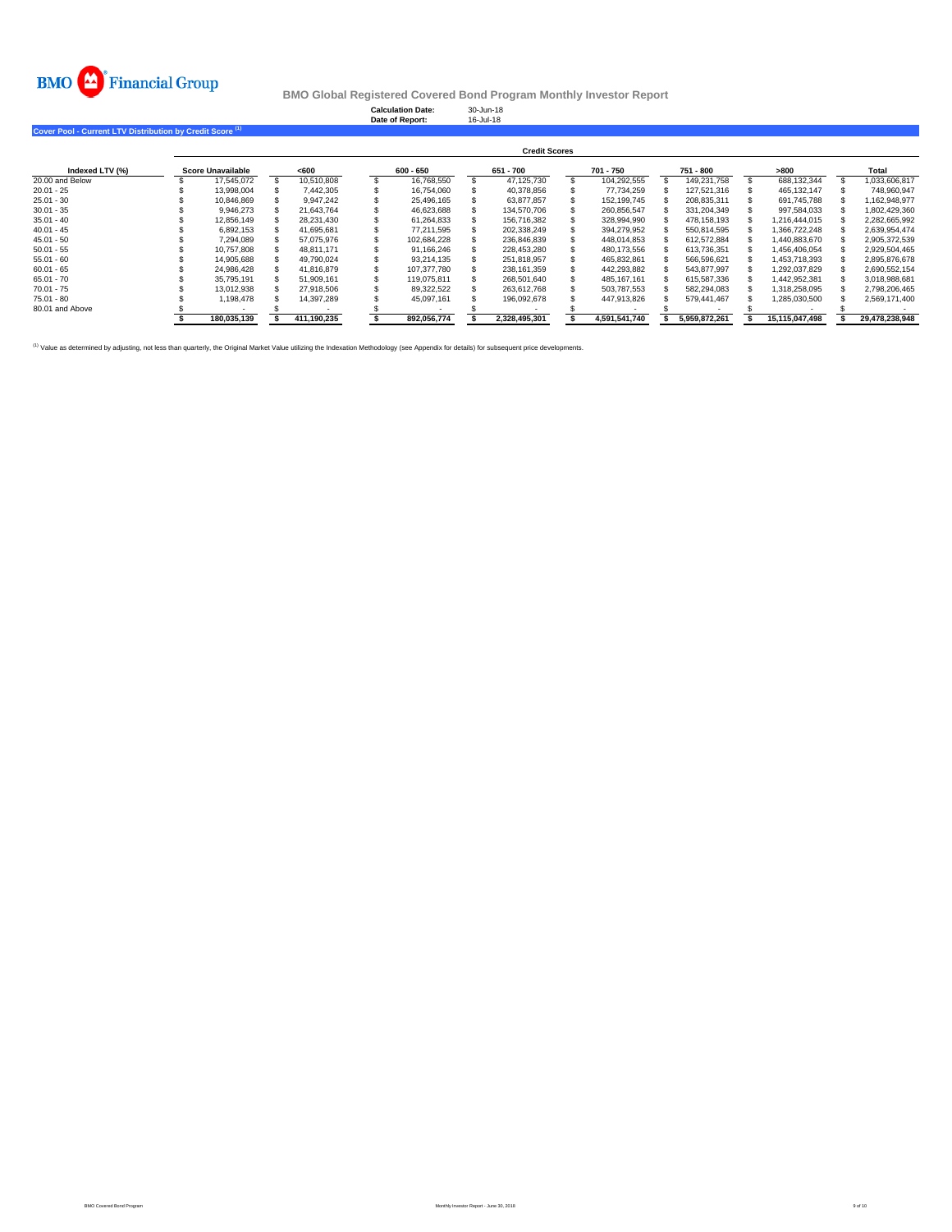

**Calculation Date:** 30-Jun-18 **Date of Report:** 16-Jul-18

**Cover Pool - Current LTV Distribution by Credit Score (1)**

|                 |                   |             |             | <b>Credit Scores</b> |               |               |                |                |
|-----------------|-------------------|-------------|-------------|----------------------|---------------|---------------|----------------|----------------|
| Indexed LTV (%) | Score Unavailable | < 600       | $600 - 650$ | 651 - 700            | 701 - 750     | 751 - 800     | >800           | Total          |
| 20.00 and Below | 17.545.072        | 10.510.808  | 16.768.550  | 47.125.730           | 104,292,555   | 149.231.758   | 688.132.344    | 1.033.606.817  |
| $20.01 - 25$    | 13.998.004        | 7.442.305   | 16.754.060  | 40.378.856           | 77.734.259    | 127.521.316   | 465.132.147    | 748.960.947    |
| $25.01 - 30$    | 10.846.869        | 9.947.242   | 25.496.165  | 63.877.857           | 152.199.745   | 208.835.311   | 691.745.788    | 1.162.948.977  |
| $30.01 - 35$    | 9.946.273         | 21.643.764  | 46.623.688  | 134.570.706          | 260.856.547   | 331.204.349   | 997.584.033    | 1.802.429.360  |
| $35.01 - 40$    | 12.856.149        | 28.231.430  | 61.264.833  | 156.716.382          | 328.994.990   | 478.158.193   | 1.216.444.015  | 2,282,665,992  |
| $40.01 - 45$    | 6.892.153         | 41.695.681  | 77.211.595  | 202.338.249          | 394.279.952   | 550.814.595   | 1.366.722.248  | 2.639.954.474  |
| $45.01 - 50$    | 7.294.089         | 57.075.976  | 102.684.228 | 236.846.839          | 448.014.853   | 612.572.884   | 1.440.883.670  | 2.905.372.539  |
| $50.01 - 55$    | 10.757.808        | 48.811.171  | 91.166.246  | 228.453.280          | 480.173.556   | 613.736.351   | 1.456.406.054  | 2,929,504,465  |
| $55.01 - 60$    | 14,905,688        | 49.790.024  | 93.214.135  | 251.818.957          | 465.832.861   | 566.596.621   | 1.453.718.393  | 2.895.876.678  |
| $60.01 - 65$    | 24.986.428        | 41.816.879  | 107.377.780 | 238.161.359          | 442.293.882   | 543.877.997   | 1.292.037.829  | 2.690.552.154  |
| $65.01 - 70$    | 35.795.191        | 51.909.161  | 119.075.811 | 268.501.640          | 485.167.161   | 615.587.336   | 1,442,952,381  | 3,018,988,681  |
| $70.01 - 75$    | 13.012.938        | 27.918.506  | 89.322.522  | 263.612.768          | 503.787.553   | 582.294.083   | 1.318.258.095  | 2.798.206.465  |
| $75.01 - 80$    | 1.198.478         | 14.397.289  | 45.097.161  | 196.092.678          | 447.913.826   | 579.441.467   | 1.285.030.500  | 2.569.171.400  |
| 80.01 and Above |                   |             |             |                      |               |               |                |                |
|                 | 180.035.139       | 411.190.235 | 892.056.774 | 2.328.495.301        | 4.591.541.740 | 5.959.872.261 | 15.115.047.498 | 29.478.238.948 |

<sup>(1)</sup> Value as determined by adjusting, not less than quarterly, the Original Market Value utilizing the Indexation Methodology (see Appendix for details) for subsequent price developments.